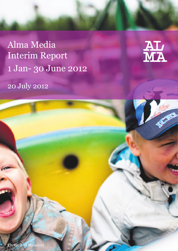Alma Media Interim Report 1 Jan- 30 June 2012



20 July 2012

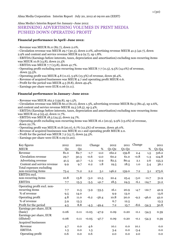Alma Media's Interim Report for January–June 2012:

# SHRINKING ADVERTISING VOLUMES IN PRINT MEDIA PUSHED DOWN OPERATING PROFIT

## **Financial performance in April–June 2012:**

- Revenue was MEUR 81.0 (82.7), down 2.0%.
- Circulation revenue was MEUR 29.7 (30.3), down 2.0%, advertising revenue MEUR 41.5 (42.7), down
- 2.9% and content and service revenue MEUR 9.9 (9.7), up 1.8%.
- EBITDA (Earnings before interests, taxes, depreciation and amortisation) excluding non-recurring items was MEUR 10.8 (13.8), down 21.5%
- EBITDA was MEUR 7.7 (13.8), down 41.7%.
- Operating profit excluding non-recurring items was MEUR 7.7 (11.5), 9.5% (14.0%) of revenue, down 33.5%.
- Operating profit was MEUR 4.8 (11.0), 5.9% (13.3%) of revenue, down 56.4%.
- Revenue of acquired businesses was MEUR 4.7 and operating profit MEUR 0.6.
- Profit for the period was MEUR 4.5 (8.8), down 49.4%.
- Earnings per share were EUR 0.06 (0.11).

## **Financial performance in January–June 2012:**

- Revenue was MEUR 162.2 (159.8), up 1.5%.

- Circulation revenue was MEUR 60.2 (61.0), down 1.3%, advertising revenue MEUR 82.5 (80.4), up 2.6%, and content and service revenue MEUR 19.5 (18.5), up 5.4%.

- EBITDA (Earnings before interests, taxes, depreciation and amortisation) excluding non-recurring items was MEUR 22.4 (25.4), down 11.7%.

- EBITDA was MEUR 18.5 (24.5), down 24.7%.
- Operating profit excluding non-recurring items was MEUR 16.1 (20.9), 9.9% (13.0%) of revenue, down 22.7%.
- Operating profit was MEUR 10.8 (20.0), 6.7% (12.5%) of revenue, down 46.0%.
- Revenue of acquired businesses was MEUR 10.1 and operating profit MEUR 2.0.
- Profit for the period was MEUR 7.2 (15.7), down 54.3%.

- Earnings per share were EUR 0.09 (0.20).

| Key figures                 | 2012           | 2011           |         | Change  | 2012    | 2011    | Change |         | 2011    |
|-----------------------------|----------------|----------------|---------|---------|---------|---------|--------|---------|---------|
| <b>MEUR</b>                 | Q <sub>2</sub> | Q <sub>2</sub> |         | %       | $Q1-Q2$ | $Q1-Q2$ |        | %       | $Q1-Q4$ |
| Revenue                     | 81.0           | 82.7           | $-1.7$  | $-2.0$  | 162.2   | 159.8   | 2.4    | 1,5     | 316.2   |
| Circulation revenue         | 29.7           | 30.3           | $-0.6$  | $-2.0$  | 60.2    | 61.0    | $-0.8$ | $-1.3$  | 124.8   |
| Advertising revenue         | 41.5           | 42.7           | $-1.3$  | $-2.9$  | 82.5    | 80.4    | 2.1    | 2.6     | 155.3   |
| Content and service revenue | 9.9            | 9.7            | 0.2     | 1.8     | 19.5    | 18.5    | 1.0    | 5.4     | 36.1    |
| Total expenses excluding    |                |                |         |         |         |         |        |         |         |
| non-recurring items         | 73.4           | 71.2           | 2.2     | 3.1     | 146.2   | 139.0   | 7.2    | 5.1     | 273.6   |
| EBITDA excl.                |                |                |         |         |         |         |        |         |         |
| non-recurring items         | 10.8           | 13.8           | $-3.0$  | $-21.5$ | 22.4    | 25.4    | $-3.0$ | $-11.7$ | 51.9    |
| <b>EBITDA</b>               | 7.7            | 13.3           | $-5.5$  | $-41.7$ | 18.5    | 24.5    | $-6.1$ | $-24.7$ | 51.2    |
| Operating profit excl. non- |                |                |         |         |         |         |        |         |         |
| recurring items             | 7.7            | 11.5           | $-3.9$  | $-33.5$ | 16.1    | 20.9    | $-4.7$ | $-22.7$ | 42.9    |
| % of revenue                | 9.5            | 14.0           |         |         | 9.9     | 13.0    |        |         | 13.6    |
| Operating profit            | 4.8            | 11.0           | $-6.2$  | $-56.4$ | 10.8    | 20.0    | $-9.2$ | $-46.0$ | 42.0    |
| % of revenue                | 5.9            | 13.3           |         |         | 6.7     | 12.5    |        |         | 13.3    |
| Profit for the period       | 4.5            | 8.8            | $-4.3$  | $-49.4$ | 7.2     | 15.7    | $-8.6$ | $-54.3$ | 30.8    |
| Earnings per share, EUR     |                |                |         |         |         |         |        |         |         |
| (basic)                     | 0.06           | 0.11           | $-0.05$ | $-47.9$ | 0.09    | 0.20    | $-0.1$ | $-54.5$ | 0.39    |
| Earnings per share, EUR     |                |                |         |         |         |         |        |         |         |
| (diluted)                   | 0.06           | 0.11           | $-0.05$ | $-47.7$ | 0.09    | 0.20    | $-0.1$ | $-54.3$ | 0.39    |
| Acquired businesses         |                |                |         |         |         |         |        |         |         |
| Revenue                     | 4.7            | 0.0            | 4.6     |         | 10.1    | 0.0     | 10.1   |         | 0.0     |
| <b>EBITDA</b>               | 1.3            | 0.0            | 1.3     |         | 3.4     | 0.0     | $-3.4$ |         | 0.0     |
| Operating profit            | 0.6            | 0.0            | 0.6     |         | 2.0     | 0.0     | 2.0    |         | 0.0     |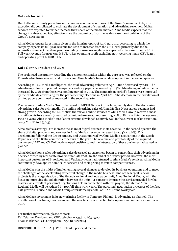#### **Outlook for 2012:**

Due to the uncertainty prevailing in the macroeconomic conditions of the Group's main markets, it is exceptionally complicated to estimate the development of circulation and advertising revenues. Digital services are expected to further increase their share of the media market. Alma Media expects that the change in value-added tax, effective since the beginning of 2012, may decrease the circulations of the Group's newspapers.

Alma Media repeats its estimate given in the interim report of April 27, 2012, according to which the company expects its full-year revenue for 2012 to increase from the 2011 level, primarily due to the acquisitions made. Operating profit excluding non-recurring items is expected to be lower than in 2011. Full-year revenue for 2011 was MEUR 316.2, operating profit excluding non-recurring items MEUR 42.9 and operating profit MEUR 42.0.

## **Kai Telanne**, President and CEO:

The prolonged uncertainty regarding the economic situation within the euro area was reflected on the Finnish advertising market, and thus also on Alma Media's financial development in the second quarter.

According to TNS Media Intelligence, the total advertising volume in April–June decreased by 7.1%. The advertising volume in printed newspapers and city papers decreased by 11.3%. Advertising in online media increased by 4.2% from the corresponding period in 2011. The comparison period's figures were improved by the candidate advertising for the parliamentary elections in April 2011. The decrease in the circulation of printed papers continued as expected in the second quarter.

The revenue of Alma Media Group decreased to MEUR 81.0 in April–June, mainly due to the decreasing advertising sales for print media. The online advertising sales of Alma Media's Newspapers segment had strong growth. According to TNS Metrix, the various online services of Alma Media Group receive almost 4.7 million visitors a week (measured by unique browsers), representing 73% of Finns within the age group 15 to 65 years. Alma Media's circulation revenue developed relatively well in the current market situation, being MEUR 29.7 (30.3).

Alma Media's strategy is to increase the share of digital business in its revenue. In the second quarter, the share of digital products and services in Alma Media's revenue increased to 23.4% (17.6%). This development followed the Group strategy and was supported by Alma Media's acquisitions in the Czech Republic and the Baltic countries at the turn of the year. The revenue and profitability of the acquired businesses, LMC and CV Online, developed positively, and the integration of these businesses advanced as planned.

Alma Media's home sales advertising sales decreased as customers began to consolidate their advertising in a service owned by real estate brokers since late 2011. By the end of the review period, however, the most important customers of Etuovi.com and Vuokraovi.com had returned to Alma Media's services. Alma Media continuously develops its home sales services and their pricing to retain competitiveness.

Alma Media is in the midst of implementing several changes to develop its business operations and to meet the challenges of the accelerating structural change in the media business. One of the largest renewal projects is the reorganisation of the Group's regional and local paper unit, Alma Regional Media, with the focus on improving the collaboration between the units' 34 papers to improve the service provided for the readers. As a result of personnel negotiations held in connection with this project, the staff at Alma Regional Media will be reduced by 100 full-time work years. The personnel negotiation processes of the first half-year will reduce Alma Media Group's workforce by a total of 142 full-time work years.

Alma Media's investment in its new printing facility in Tampere, Finland, is advancing as planned. The installation of machinery has begun, and the new facility is expected to be operational in the first quarter of 2013.

For further information, please contact: Kai Telanne, President and CEO, telephone +358 10 665 3500 Tuomas Itkonen, CFO, telephone +358 10 665 2244

DISTRIBUTION: NASDAQ OMX Helsinki, principal media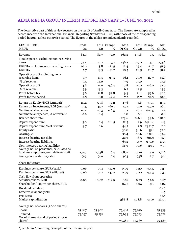# ALMA MEDIA GROUP INTERIM REPORT JANUARY 1–JUNE 30, 2012

The descriptive part of this review focuses on the result of April–June 2012. The figures are compared in accordance with the International Financial Reporting Standards (IFRS) with those of the corresponding period in 2011, unless otherwise stated. The figures in the tables are independently rounded.

| <b>KEY FIGURES</b>                                  | 2012           |                | 2011 Change        | 2012         |              | 2011 Change         | 2011            |
|-----------------------------------------------------|----------------|----------------|--------------------|--------------|--------------|---------------------|-----------------|
| <b>MEUR</b>                                         | Q <sub>2</sub> | Q <sub>2</sub> | %                  | $Q1-Q2$      | $Q1-Q2$      | %                   | $Q1-Q4$         |
| Revenue                                             | 81.0           | 82.7           | $-2.0$             | 162.2        | 159.8        | 1.5                 | 316.2           |
| Total expenses excluding non-recurring              |                |                |                    |              |              |                     |                 |
| items                                               | 73.4           | 71.2           | 3.1                | 146.2        | 139.0        | 5.1                 | 273.6           |
| EBITDA excluding non-recurring items                | 10.8           | 13.8           | $-21.5$            | 22.4         | 25.4         | $-11.7$             | 51.9            |
| <b>EBITDA</b>                                       | 7.7            | 13.3           | $-41.7$            | 18.5         | 24.5         | $-24.7$             | 51.2            |
| Operating profit excluding non-                     |                |                |                    |              |              |                     |                 |
| recurring items                                     | 7.7            | 11.5           | $-33.5$            | 16.1         | 20.9         | $-22.7$             | 42.9            |
| % of revenue                                        | 9.5            | 14.0           |                    | 9.9          | 13.0         |                     | 13.6            |
| Operating profit                                    | 4.8            | 11.0           | $-56.4$            | 10.8         | 20.0         | $-46.0$             | 42.0            |
| % of revenue                                        | 5.9            | 13.3           |                    | 6.7          | 12.5         |                     | 13.3            |
| Profit before tax                                   | 5.6            | 11.8           | $-52.8$            | 9.3          | 21.1         | $-55.6$             | 42.0            |
| Profit for the period                               | 4.5            | 8.8            | $-49.4$            | 7.2          | 15.7         | $-54.3$             | 30.8            |
| Return on Equity/ROE (Annual)*                      |                |                |                    | 17.6         |              |                     |                 |
| Return on Investments/ROI (Annual)*                 | 27.2<br>15.5   | 55.8           | $-51.2$<br>$-66.1$ |              | 34.8<br>32.9 | $-49.4$             | 29.1<br>26.1    |
| Net financial expenses                              | $-0.4$         | 45.7<br>$-0.3$ | $-46.5$            | 13.2<br>1.2  | $-0.2$       | $-59.9$<br>694.5    | 2.5             |
| Net financial expenses, % of revenue                | $-0.6$         | $-0.4$         |                    | 0.8          | $-0.1$       |                     | 0.8             |
| <b>Balance sheet total</b>                          |                |                |                    | 223.6        | 166.1        | 34.6                | 198.0           |
| Capital expenditure                                 | 3.0            | 1.4            | 118.5              | 72.5         | 2.9          | 2428.4              | 6.3             |
| Capital expenditure, % of revenue                   | 3.7            | 1.6            |                    | 44.7         | 1.8          | 2391.7              | $2.0\,$         |
| Equity ratio                                        |                |                |                    | 36.8         | 56.6         |                     |                 |
| Gearing, %                                          |                |                |                    | 58.4         | $-10.6$      | $-35.1$<br>$-652.1$ | 57.0            |
| Interest-bearing net debt                           |                |                |                    |              | $-8.5$       | $-601.9$            | $-33.4$         |
| Interest-bearing liabilities                        |                |                |                    | 42.9<br>63.2 | 14.7         | 330.6               | $-32.3$<br>25.5 |
| Non-interest-bearing liabilities                    |                |                |                    | 86.9         | 70.6         |                     |                 |
| Average no. of personnel, calculated as             |                |                |                    |              |              | 23.1                | 75.7            |
| full-time employees, excl. delivery staff           | 1,977          | 1,858          | 6.4                | 1,897        | 1,826        | 3.9                 | 1,816           |
| Average no. of delivery staff                       | 963            | 960            | 0.4                | 963          | 938          | 2.7                 | 961             |
|                                                     |                |                |                    |              |              |                     |                 |
| Share indicators                                    |                |                |                    |              |              |                     |                 |
| Earnings per share, EUR (basic)                     | 0.06           | 0.11           | $-47.9$            | 0.09         | 0.20         | $-54.5$             | 0.39            |
| Earnings per share, EUR (diluted)                   | 0.06           | 0.11           | $-47.7$            | 0.09         | 0.20         | $-54.3$             | 0.39            |
| Cash flow from operating                            |                |                |                    |              |              |                     |                 |
| activities/share, EUR                               | $0.00\,$       | $-0.02$        | $-119.9$           | 0.16         | 0.35         | $-53.0$             | 0.67            |
| Shareholders' equity per share, EUR                 |                |                |                    | 0.95         | 1.04         | $-9.1$              | 1.24            |
| Dividend per share                                  |                |                |                    |              |              |                     | 0.40            |
| Effective dividend yield                            |                |                |                    |              |              |                     | 6.5             |
| $P/E$ Ratio                                         |                |                |                    |              |              |                     | 15.8            |
| Market capitalisation                               |                |                |                    | 388.8        | 508.8        | $-23.6$             | 463.5           |
|                                                     |                |                |                    |              |              |                     |                 |
| Average no. of shares (1,000 shares)                |                |                |                    |              |              |                     |                 |
| - basic                                             | 75,487         | 75,302         |                    | 75,487       | 75,190       |                     | 75,339          |
| - diluted<br>No. of shares at end of period (1,000) | 75,657         | 75,751         |                    | 75,693       | 75,793       |                     | 75,772          |
| shares)                                             |                |                |                    | 75,487       | 75,487       |                     | 75,487          |
|                                                     |                |                |                    |              |              |                     |                 |

\*) see Main Accounting Principles of the Interim Report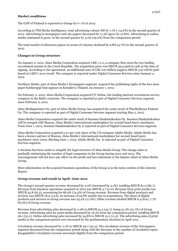## **Market conditions**

The GDP of Finland is expected to change by 0–1% in 2012.

According to TNS Media Intelligence, total advertising volume fell by 7.1% (+15.6%) in the second quarter of 2012. Advertising in newspapers and city papers decreased by 11.3% (grew by 12.8%). Advertising in online media continued to grow, in the second quarter by 4.2% (29.2%) from the comparison period.

The total market of afternoon papers in terms of volumes declined by 6.8% (4.7%) in the second quarter of 2012.

## **Changes in Group structure**

On January 2, 2012, Alma Media Corporation acquired LMC s.r.o, a company that owns the two leading recruitment portals in the Czech Republic. The acquisition price was MEUR 39.5 paid in cash at the time of signing. According to the agreement, an additional sum of CZK 100 million (approx MEUR 3.9) will be paid based on LMC's 2012 result. The company is reported under Digital Consumer Services since January 2, 2012.

Northern Media, part of Alma Media's Newspapers segment, acquired the publishing rights of the free issue paper Kotikymppi that appears in Kemijärvi, Finland, on January 1, 2012.

On February 2, 2012, Alma Media Corporation acquired CV Online, the leading internet recruitment service company in the Baltic countries. The company is reported as part of Digital Consumer Services segment since February 2, 2012.

Alma Mediapartners Oy, part of Alma Media Group, has acquired the entire stock of PlanMyRoom Finland Oy. The company is reported as part of Digital Consumer Services segment starting May 2, 2012.

Alma Media Corporation acquired the entire stock of Suomen Hankintakeskus Oy. Suomen Hankintakeskus will be merged with Mascus, Alma Media's international marketplace for second-hand heavy machinery. From June 1, 2012, Suomen Hankintakeskus Oy is reported as part of Digital Consumer Services segment.

Alma Media Corporation acquired a 51-per cent share of the US company Adalia Media. Adalia Media has been a licence partner of Mascus, Alma Media's international marketplace for second-hand heavy machinery since 2009. Starting June 1, 2012, Adalia Media Inc. is reported as part of Digital Consumer Services segment.

A decision has been made to simplify the legal structure of Alma Media Group. The change aims at gradually minimising the number of legal companies in the Group during 2012 and 2013. The rearrangement will not have any effect on the profit and loss statement or the balance sheet of Alma Media Group.

More information on the acquired business operations of the Group is in the notes section of this Interim Report.

## **Group revenue and result in April–June 2012**

The Group's second-quarter revenue decreased by 2.0% (increased by 5.1%), totalling MEUR 81.0 (82.7). Revenue from business operations acquired in 2012 was MEUR 4.7 (0.0). Revenue from print media was MEUR 55.8 (61.5), accounting for 68.9% (74.4%) of Group revenue. Revenue from digital products and services was MEUR 18.9 (14.6), an increase of 29.8% mainly due to acquisitions. The share of digital products and services in Group revenue was 23.4% (17.6%). Other revenue totalled MEUR 6.4 (6.6), 7.7% (8.0%) of Group revenue.

Revenue from advertising sales decreased by 2.9% to MEUR 41.5 (42.7), being 51.2% (51.7%) of Group revenue. Advertising sales for print media decreased by 16.3% from the comparison period, totalling MEUR 26.1 (31.2). Online advertising sales increased by 34.8% to MEUR 15.2 (11.3). The advertising sales of print media in the comparison period were increased by the parliamentary elections in April 2011.

Circulation revenue decreased by 2.0% to MEUR 29.7 (30.3). The circulation revenue of the Newspapers segment decreased from the comparison period along with the decrease in the number of circulated copies. Kauppalehti's circulation revenue increased slightly from the comparison period.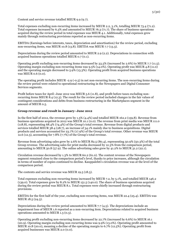Content and service revenue totalled MEUR 9.9 (9.7).

Total expenses excluding non-recurring items increased by MEUR 2.2, 3.1%, totalling MEUR 73.4 (71.2). Total expenses increased by 6.3% and amounted to MEUR 76.3 (71.7). The share of business operations acquired during the review period in total expenses was MEUR 4.1. Additionally, total expenses grew mainly through restructuring provisions reported as non-recurring items.

EBITDA (Earnings before interests, taxes, depreciation and amortisation) for the review period, excluding non-recurring items, was MEUR 10.8 (13.8). EBITDA was MEUR 7.7 (13.3).

Depreciations during the review period amounted to MEUR 2.9 (2.2). Depreciations in connection with acquired business operations totalled MEUR 0.7 (0.1).

Operating profit excluding non-recurring items decreased by 33.5% (increased by 2.6%) to MEUR 7.7 (11.5). Operating margin excluding non-recurring items was 9.5% (14.0%). Operating profit was MEUR 4.8 (11.0) and the operating margin decreased to 5.9% (13.3%). Operating profit from acquired business operations was MEUR 0.6 (0.0).

The operating profit includes MEUR -2.9 (-0.5) in net non-recurring items. The non-recurring items during the review period were related to operational restructuring in the Newspapers and Digital Consumer Services segments.

Profit before taxes for April–June 2012 was MEUR 5.6 (11.8), and profit before taxes excluding nonrecurring items MEUR 8.4 (12.3). The result for the review period included changes in the fair values of contingent considerations and debts from business restructuring in the Marketplaces segment in the amount of MEUR 0.5.

#### **Group revenue and result in January–June 2012**

In the first half of 2012, the revenue grew by 1.5% (4.4%) and totalled MEUR 162.2 (159.8). Revenue from business operations acquired in 2012 was MEUR 10.1 (0.0). The revenue from print media was MEUR 111.0 (118.8), representing 68.4% (74.4%) of the Group's total revenue. Revenue from digital products and services totalled MEUR 38.4 (28.7), an increase of 34.1% mainly due to business acquisitions. Digital products and services accounted for 23.7% (17.9%) of the Group's total revenue. Other revenue was MEUR 12.6 (12.3), accounting for 7.8% (7.7%) of the Group's total revenue.

Revenue from advertising sales grew by 2.6% to MEUR 82.5 (80.4), representing 50.9% (50.3%) of the total Group revenue. The advertising sales for print media decreased by 12.3% from the comparison period, amounting to MEUR 50.8 (57.9). The online advertising sales grew by  $41.2\%$  to MEUR 31.2 (22.1).

Circulation revenue decreased by 1.3% to MEUR 60.2 (61.0). The content revenue of the Newspapers segment remained close to the comparison period's level, thanks to price increases, although the circulation in terms of number of copies continued to decline. Kauppalehti's circulation revenue was at the level of the comparison period.

The contents and service revenue was MEUR 19.5 (18.5).

Total expenses excluding non-recurring items increased by MEUR 7.2, by 5.1%, and totalled MEUR 146.2 (139.0). Total expenses grew by 8.2% to MEUR 151.5 (140.0). The share of business operations acquired during the review period was MEUR 8.1. Total expenses were chiefly increased through restructuring provisions.

EBITDA for the first half of the year, excluding non-recurring items, was MEUR 22.4 (25.4). EBITDA was MEUR 18.5 (24.5).

Depreciations during the review period amounted to MEUR 7.7 (4.5). The depreciations include an impairment loss of MEUR 1.6 reported as a non-recurring item. Depreciations related to acquired business operations amounted to MEUR 1.3 (0.3).

Operating profit excluding non-recurring items decreased by 22.7% (increased by 6.6%) to MEUR 16.1 (20.9). Operating margin excluding non-recurring items was 9.9% (13.0%). Operating profit amounted to MEUR 10.8 (20.0), meaning a decline of the operating margin to 6.7% (12.5%). Operating profit from acquired businesses was MEUR 2.0 (0.0).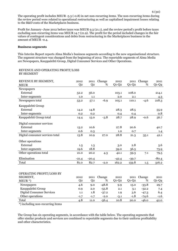The operating profit includes MEUR -5.3 (-0.8) in net non-recurring items. The non-recurring items during the review period were related to operational restructuring as well as capitalised impairment losses relating to the R&D costs of the Marketplaces business.

Profit for January–June 2012 before taxes was MEUR 9.3 (21.1), and the review period's profit before taxes excluding non-recurring items was MEUR 14.7 (21.9). The profit for the period included changes in the fair values of contingent considerations and debts from restructuring in the Marketplaces business in the amount of MEUR -0.4.

#### **Business segments**

This Interim Report reports Alma Media's business segments according to the new organisational structure. The segment structure was changed from the beginning of 2012. The reportable segments of Alma Media are Newspapers, Kauppalehti Group, Digital Consumer Services and Other Operations.

#### REVENUE AND OPERATING PROFIT/LOSS BY SEGMENT

| REVENUE BY SEGMENT,<br><b>MEUR</b> | 2012<br>Q2 | 2011<br>Q <sub>2</sub> | Change<br>% | 2012<br>$Q1-Q2$ | 2011<br>$Q1-Q2$ | Change<br>% | 2011<br>$Q1-Q4$ |
|------------------------------------|------------|------------------------|-------------|-----------------|-----------------|-------------|-----------------|
| Newspapers                         |            |                        |             |                 |                 |             |                 |
| External                           | 52.2       | 56.0                   |             | 103.1           | 108.0           |             | 214.1           |
| Inter-segments                     | 1.0        | 1.1                    |             | 2.0             | 2.1             |             | 4.3             |
| Newspapers total                   | 53.2       | 57.1                   | $-6.9$      | 105.1           | 110.1           | $-4.6$      | 218.3           |
| Kauppalehti Group                  |            |                        |             |                 |                 |             |                 |
| External                           | 14.2       | 14.8                   |             | 28.3            | 28.5            |             | 55.9            |
| Inter-segments                     | 0.2        | 0.2                    |             | 0.4             | 0.4             |             | 0.8             |
| Kauppalehti Group total            | 14.4       | 15.0                   | $-3.8$      | 28.7            | 28.9            | $-0.6$      | 56.7            |
| Digital consumer services          |            |                        |             |                 |                 |             |                 |
| External                           | 13.2       | 10.6                   |             | 27.8            | 20.6            |             | 40.7            |
| Inter-segments                     | 0.6        | 0.3                    |             | 1.0             | 0.7             |             | 1.4             |
| Digital consumer services total    | 13.8       | 10.9                   | 27.0        | 28.8            | 21.3            | 35.1        | 42.1            |
| Other operations                   |            |                        |             |                 |                 |             |                 |
| External                           | 1.5        | 1.3                    |             | 3.0             | 2.8             |             | 5.6             |
| Inter-segments                     | 19.6       | 18.8                   |             | 39.0            | 36.5            |             | 73.9            |
| Other operations total             | 21.0       | 20.2                   | 4.3         | 42.1            | 39.3            | 7.1         | 79.5            |
| Elimination                        | $-21.4$    | $-20.4$                |             | $-42.4$         | $-39.7$         |             | $-80.4$         |
| Total                              | 81.0       | 82.7                   | $-2.0$      | 162.2           | 159.8           | 1.5         | 316.2           |

## OPERATING PROFIT/LOSS BY

| SEGMENT,                  | 2012   | 2011   | Change  | 2012      |         | 2011 Change | 2011    |
|---------------------------|--------|--------|---------|-----------|---------|-------------|---------|
| $MEUR^*$                  | 02     | O2     | %       | $Q1 - Q2$ | $O1-O2$ | %           | $Q1-Q4$ |
| Newspapers                | 4.6    | 9.0    | $-48.8$ | 9.9       | 15.0    | $-33.8$     | 29.7    |
| Kauppalehti Group         | 0.9    | 2.0    | $-55.8$ | 2.1       | 3.1     | $-32.2$     | 7.4     |
| Digital Consumer Services | 1.1    | 1.8    | $-37.2$ | 1.9       | 3.6     | $-47.3$     | 6.4     |
| Other operations          | $-1.7$ | $-1.7$ | $-2.0$  | $-3.1$    | $-1.8$  | $-74.6$     | $-1.6$  |
| Total                     | 4.8    | 11.0   | $-56.4$ | 10.8      | 20.0    | $-46.0$     | 42.0    |

\*) including non-recurring items

The Group has six operating segments, in accordance with the table below. The operating segments that offer similar products and services are combined to reportable segments due to their uniform profitability and other characteristics.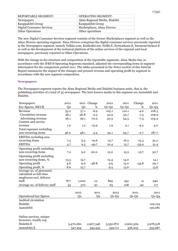| <b>REPORTABLE SEGMENT:</b>       | <b>OPERATING SEGMENT:</b>      |
|----------------------------------|--------------------------------|
| <b>Newspapers</b>                | Alma Regional Media, Iltalehti |
| Kauppalehti Group                | Kauppalehti Group              |
| <b>Digital Consumer Services</b> | Marketplaces, Alma Diverso     |
| <b>Other Operations</b>          | Other operations               |

The new Digital Consumer Services segment consists of the former Marketplaces segment as well as the Alma Diverso operating segment. Alma Diverso comprises the digital consumer services previously reported in the Newspapers segment, namely Telkku.com, Kotikokki.net, Neffit.fi, Nytmatkaan.fi, Suomenyritykset.fi as well as the development of the technical platform of the online services of the regional and local newspapers, previously reported in Other Operations.

With the change in the structure and composition of the reportable segments, Alma Media has, in accordance with the IFRS 8 Operating Segments standard, adjusted the corresponding items in segment information for the comparison period 2011. The tables presented in the Notes section of this Interim Report summarise the impact of the changes and present revenue and operating profit by segment in accordance with the new segment composition.

#### **Newspapers**

The Newspapers segment reports the Alma Regional Media and Iltalehti business units, that is, the publishing activities of a total of 35 newspapers. The best-known media in this segment are Aamulehti and Iltalehti.

| Newspapers                    | 2012           |                | 2011 Change    | 2012      | 2011    | Change    | 2011      |
|-------------------------------|----------------|----------------|----------------|-----------|---------|-----------|-----------|
| Key figures, MEUR             | Q <sub>2</sub> | Q <sub>2</sub> | %              | $Q1-Q2$   | $Q1-Q2$ | %         | $Q1-Q4$   |
| Revenue                       | 53.2           | 57.1           | $-6.9$         | 105.1     | 110.1   | $-4.6$    | 218.3     |
| Circulation revenue           | 26.1           | 26.8           | $-2.5$         | 52.9      | 53.7    | $-1.5$    | 109.9     |
| Advertising revenue           | 26.1           | 29.1           | $-10.5$        | 50.3      | 54.3    | $-7.4$    | 104.4     |
| Content and service           |                |                |                |           |         |           |           |
| revenue                       | 1.0            | 1.2            | $-15.9$        | 1.9       | 2.1     | $-9.2$    | 4.0       |
| Total expenses excluding      |                |                |                |           |         |           |           |
| non-recurring items           | 46.0           | 48.1           | $-4.4$         | 92.1      | 94.7    | $-2.7$    | 187.7     |
| EBITDA excluding non-         |                |                |                |           |         |           |           |
| recurring items               | 7.5            | 9.3            | $-19.6$        | 13.7      | 16.2    | $-15.3$   | 32.2      |
| <b>EBITDA</b>                 | 4.7            | 9.3            | $-49.7$        | 10.4      | 15.7    | $-33.9$   | 31.4      |
| Operating profit excluding    |                |                |                |           |         |           |           |
| non-recurring items           | 7.2            | 9.0            | $-20.0$        | 13.0      | 15.5    | $-15.7$   | 30.7      |
| Operating profit excluding    |                |                |                |           |         |           |           |
| non-recurring items, %        | 13.5           | 15.7           |                | 12.4      | 14.0    |           | 14.1      |
| Operating profit              | 4.6            | 9.0            | $-48.8$        | 9.9       | 15.0    | $-33.8$   | 29.7      |
| Operating profit, %           | 8.6            | 15.7           |                | 9.4       | 13.6    |           | 13.6      |
| Average no. of personnel,     |                |                |                |           |         |           |           |
| calculated as full-time       |                |                |                |           |         |           |           |
| employees excl. delivery      |                |                |                |           |         |           |           |
| staff                         | 877            | 1,002          | $-12$          | 865       | 951     | $-9$      | 940       |
| Average no. of delivery staff | 33             | 370            | $-91$          | 65        | 108     | $-40$     | 117       |
|                               |                |                |                |           |         |           |           |
|                               |                | 2012           | 2011           | 2012      |         | 2011      | 2011      |
| Operational key figures       |                | Q <sub>2</sub> | Q <sub>2</sub> | $Q1-Q2$   |         | $Q1-Q2$   | $Q1-Q4$   |
| Audited circulation           |                |                |                |           |         |           |           |
| Iltalehti                     |                |                |                |           |         |           | 102,124   |
| Aamulehti                     |                |                |                |           |         |           | 130,081   |
|                               |                |                |                |           |         |           |           |
| Online services, unique       |                |                |                |           |         |           |           |
| browsers, weekly avg          |                |                |                |           |         |           |           |
| Iltalehti.fi                  |                | 3,470,260      | 2,907,546      | 3,550,872 |         | 2,900,309 | 2,978,518 |
| Aamulehti.fi                  |                | 347,254        | 343,435        | 349,711   |         | 336,205   | 333,987   |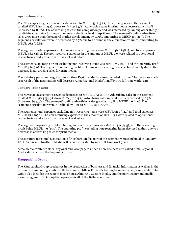#### **April - June 2012**

The Newspapers segment's revenue decreased to MEUR 53.2 (57.1). Advertising sales in the segment totalled MEUR 26.1 (29.1), down 10.5% (up 8.5%). Advertising sales in print media decreased by 13.2% (increased by 8.8%). The advertising sales in the comparison period was increased by, among other things, candidate advertising for the parliamentary elections held in April 2011. The segment's online advertising sales grew more than the general market development, by 17.3%, amounting to MEUR 2.9 (2.5). The segment's circulation revenue decreased by 2.5% due to a decline in the circulation volumes, amounting to MEUR 26.1 (26.8).

The segment's total expenses excluding non-recurring items were MEUR 46.0 (48.1), and total expenses MEUR 48.6 (48.1). The non-recurring expenses in the amount of MEUR 2.6 were related to operational restructuring and a loss from the sale of real estate.

The segment's operating profit excluding non-recurring items was MEUR 7.2 (9.0), and the operating profit MEUR 4.6 (9.0). The segment's operating profit excluding non-recurring items declined mainly due to the decrease in advertising sales for print media.

The statutory personnel negotiations at Alma Regional Media were concluded in June. The decisions made as a result of the negotiations will decrease Alma Regional Media's staff by 100 full-time work years.

#### **January–June 2012**

The Newspapers segment's revenue decreased to MEUR 105.1 (110.1). Advertising sales in the segment totalled MEUR 50.3 (54.3), down 7.4% (up 6.4%). Advertising sales in print media decreased by 9.5% (increased by 5.5%). The segment's online advertising sales grew by 12.7% to MEUR 5.6 (5.0). The segment's circulation revenue declined by 1.5% to MEUR 52.9 (53.7).

The segment's total expenses excluding non-recurring items were MEUR 92.1 (94.7) and total expenses MEUR 95.2 (95.1). The non-recurring expenses in the amount of MEUR 3.1 were related to operational restructuring and a loss from the sale of real estate.

The segment's operating profit excluding non-recurring items was MEUR 13.0 (15.5), with the operating profit being MEUR 9.9 (15.0). The operating profit excluding non-recurring items declined mainly due to a decrease in advertising sales for print media.

The statutory personnel negotiations of Northern Media, part of the segment, were concluded in January 2012. As a result, Northern Media will decrease its staff by nine full-time work years.

Alma Media combined its 34 regional and local papers under a new business unit called Alma Regional Media starting from the beginning of 2012.

## **Kauppalehti Group**

The Kauppalehti Group specialises in the production of business and financial information as well as in the provision of marketing solutions. Its best known title is Finland's leading business paper, Kauppalehti. The Group also includes the custom media house Alma 360 Custom Media, and the news agency and media monitoring unit BNS Group that operates in all of the Baltic countries.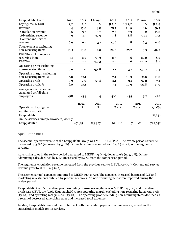| Kauppalehti Group                        | 2012           | 2011           | Change         | 2012    | 2011    | Change  | 2011    |
|------------------------------------------|----------------|----------------|----------------|---------|---------|---------|---------|
| Key figures, MEUR                        | Q <sub>2</sub> | Q <sub>2</sub> | %              | $Q1-Q2$ | $Q1-Q2$ | %       | $Q1-Q4$ |
| Revenue                                  | 14.4           | 15.0           | $-3.8$         | 28.7    | 28.9    | $-0.6$  | 56.7    |
| Circulation revenue                      | 3.6            | 3.5            | 1.7            | 7.3     | 7.3     | 0.2     | 15.0    |
| Advertising revenue                      | 3.9            | 4.7            | $-17.9$        | 7.8     | 8.8     | $-11.1$ | 17.1    |
| Content and service                      |                |                |                |         |         |         |         |
| revenue                                  | 6.9            | 6.7            | 3.1            | 13.6    | 12.8    | 6.3     | 24.6    |
| Total expenses excluding                 |                |                |                |         |         |         |         |
| non-recurring items                      | 13.5           | 13.0           | 4.0            | 26.6    | 25.7    | 3.3     | 49.3    |
| EBITDA excluding non-                    |                |                |                |         |         |         |         |
| recurring items                          | 1.1            | 2.2            | $-50.3$        | 2.5     | 3.6     | $-29.2$ | 8.2     |
| <b>EBITDA</b>                            | 1.1            | 2.2            | $-50.3$        | 2.5     | 3.6     | $-29.2$ | 8.2     |
| Operating profit excluding               |                |                |                |         |         |         |         |
| non-recurring items                      | 0.9            | 2.0            | $-55.8$        | 2.1     | 3.1     | $-32.2$ | 7.4     |
| Operating margin excluding               |                |                |                |         |         |         |         |
| non-recurring items, %                   | 6.0            | 13.1           |                | 7.4     | 10.9    | $-31.8$ | 13.0    |
| Operating profit                         | 0.9            | 2.0            | $-55.8$        | 2.1     | 3.1     | $-32.2$ | 7.4     |
| Operating profit, %                      | 6.0            | 13.1           |                | 7.4     | 10.9    | $-31.8$ | 13.0    |
| Average no. of personnel,                |                |                |                |         |         |         |         |
| calculated as full-time                  |                |                |                |         |         |         |         |
| employees                                | 418            | 434            | $-4$           | 410     | 435     | $-5.7$  | 429     |
|                                          |                |                |                |         |         |         |         |
|                                          |                | 2012           | 2011           | 2012    |         | 2011    | 2011    |
| Operational key figures                  |                | Q <sub>2</sub> | Q <sub>2</sub> | $Q1-Q2$ |         | $Q1-Q2$ | $Q1-Q4$ |
| Audited circulation                      |                |                |                |         |         |         |         |
| Kauppalehti                              |                |                |                |         |         |         | 68,252  |
| Online services, unique browsers, weekly |                |                |                |         |         |         |         |
| Kauppalehti.fi                           |                | 676,154        | 713,927        | 704,180 |         | 781,601 | 729,742 |

#### **April–June 2012**

The second-quarter revenue of the Kauppalehti Group was MEUR 14.4 (15.0). The review period's revenue decreased by 3.8% (increased by 3.8%). Online business accounted for 26.4% (23.2%) of the segment's revenue.

Advertising sales in the review period decreased to MEUR 3.9 (4.7), down 17.9% (up 5.0%). Online advertising sales declined by 6.1% (increased by 6.9%) from the comparison period.

The segment's circulation revenue increased from the previous year to MEUR 3.6 (3.5). Content and service revenue grew to MEUR 6.9 (6.7).

The segment's total expenses amounted to MEUR 13.5 (13.0). The expenses increased because of ICT and marketing investments entailed by product renewals. No non-recurring items were reported during the review period.

Kauppalehti Group's operating profit excluding non-recurring items was MEUR 0.9 (2.0) and operating profit was MEUR 0.9 (2.0). Kauppalehti Group's operating margin excluding non-recurring items was 6.0% (13.1%), and operating margin 6.0% (13.1%). The operating profit excluding non-recurring items declined as a result of decreased advertising sales and increased total expenses.

In May, Kauppalehti renewed the contents of both the printed paper and online service, as well as the subscription models for its services.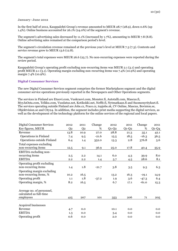#### **January–June 2012**

In the first half of 2012, Kauppalehti Group's revenue amounted to MEUR 28.7 (28.9), down 0.6% (up 1.4%). Online business accounted for 26.1% (24.0%) of the segment's revenue.

The segment's advertising sales decreased by 11.1% (increased by 1.7%), amounting to MEUR 7.8 (8.8). Online advertising sales remained at the comparison period's level.

The segment's circulation revenue remained at the previous year's level at MEUR 7.3 (7.3). Contents and service revenue grew to MEUR 13.6 (12.8).

The segment's total expenses were MEUR 26.6 (25.7). No non-recurring expenses were reported during the review period.

Kauppalehti Group's operating profit excluding non-recurring items was MEUR 2.1 (3.1) and operating profit MEUR 2.1 (3.1). Operating margin excluding non-recurring items was 7.4% (10.9%) and operating margin 7.4% (10.9%).

#### **Digital Consumer Services**

The new Digital Consumer Services segment comprises the former Marketplaces segment and the digital consumer service operations previously reported in the Newspapers and Other Operations segments.

The services in Finland are Etuovi.com, Vuokraovi.com, Monster.fi, Autotalli.com, Mascus.fi, MyyJaOsta.com, Telkku.com, Vuodatus.net, Kotikokki.net, Neffit.fi, Nytmatkaan.fi and Suomenyritykset.fi. The services operating outside Finland are Jobs.cz, Prace.cz, topjobs.sk, CV Online, Mascus, Bovision.se, Objektvision.se and City24. In addition, the segment includes print media supporting the digital services, as well as the development of the technology platform for the online services of the regional and local papers.

| <b>Digital Consumer Services</b>                     | 2012           | 2011           | Change  | 2012    | 2011    | Change  | 2011     |
|------------------------------------------------------|----------------|----------------|---------|---------|---------|---------|----------|
| Key figures, MEUR                                    | Q <sub>2</sub> | Q <sub>2</sub> | %       | $Q1-Q2$ | $Q1-Q2$ | %       | $Q1-Q4$  |
| Revenue                                              | 13.8           | 10.9           | 27.0    | 28.8    | 21.3    | 35.1    | 42.1     |
| <b>Operations in Finland</b>                         | 7.4            | 9.5            | $-21.6$ | 15.5    | 18.5    | $-16.3$ | 36.5     |
| Operations outside Finland                           | 6.4            | 1.4            | 352.0   | 13.3    | 2.8     | 376.8   | 5.6      |
| Total expenses excluding                             |                |                |         |         |         |         |          |
| non-recurring items                                  | 12.5           | 9.1            | 36.9    | 25.0    | 17.8    | 40.4    | 35.9     |
| EBITDA excluding non-                                |                |                |         |         |         |         |          |
| recurring items                                      | 2.5            | 2.2            | 14.1    | 6.0     | 4.3     | 39.9    | 8.0      |
| <b>EBITDA</b>                                        | 2.2            | 2.2            | 1.4     | 5.7     | 4.5     | 28.6    | 8.1      |
| Operating profit excluding                           |                |                |         |         |         |         |          |
| non-recurring items                                  | 1.4            | 1.8            | $-21.7$ | 3.8     | 3.5     | 9.3     | 6.3      |
| Operating margin excluding                           |                |                |         |         |         |         |          |
| non-recurring items, %                               | 10.2           | 16.5           |         | 13.2    | 16.3    | $-19.1$ | 14.9     |
| Operating profit                                     | 1.1            | 1.8            | $-37.2$ | 1.9     | 3.6     | $-47.3$ | 6.4      |
| Operating margin, %                                  | 8.2            | 16.5           |         | 6.7     | 17.1    | $-61.0$ | 15.3     |
| Average no. of personnel,<br>calculated as full-time |                |                |         |         |         |         |          |
| employees                                            | 415            | 207            | 101     | 353     | 206     | 71      | $20_{5}$ |
|                                                      |                |                |         |         |         |         |          |
| Acquired businesses                                  |                |                |         |         |         |         |          |
| Revenue                                              | 4.7            | 0.0            |         | 10.1    | 0.0     |         | 0.0      |
| <b>EBITDA</b>                                        | 1.3            | 0.0            |         | 3.4     | 0.0     |         | 0.0      |
| Operating profit                                     | 0.6            | 0.0            |         | 2.0     | 0.0     |         | 0.0      |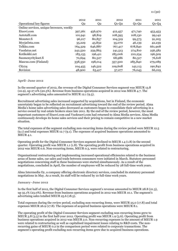|                                          | 2012    | 2011    | 2012    | 2011    | 2011    |
|------------------------------------------|---------|---------|---------|---------|---------|
| Operational key figures                  | Q2      | Q2      | $Q1-Q2$ | $Q1-Q2$ | $Q1-Q4$ |
| Online services, unique browsers, weekly |         |         |         |         |         |
| Etuovi.com                               | 397,261 | 456,970 | 412,457 | 471,740 | 453,453 |
| Autotalli.com                            | 101,941 | 98,819  | 108,395 | 108,130 | 99,142  |
| Monster.fi                               | 96,217  | 80,857  | 104,319 | 99,573  | 91,205  |
| MyyjaOsta.com                            | 35,229  | 43,832  | 35,070  | 46,139  | 42,239  |
| Telkku.com                               | 764,329 | 646,887 | 767,417 | 678,840 | 661,908 |
| Vuodatus.net                             | 242,520 | 259,863 | 241,513 | 274,810 | 256,582 |
| Kotikokki.net                            | 183,155 | 196,411 | 185,006 | 210,254 | 196,509 |
| Suomenyritykset.fi                       | 70,694  | 80,327  | 68,986  | 80,317  | 76,618  |
| Mascus.com (Finland)                     | 338,350 | 198,014 | 357,500 | 285,840 | 279,089 |
| City <sub>24</sub>                       | 104,455 | 146,522 | 109,608 | 142,113 | 190,842 |
| <b>Bovision</b>                          | 48,900  | 63,417  | 57,277  | 76,043  | 66,019  |

11 (30)

#### **April–June 2012**

In the second quarter of 2012, the revenue of the Digital Consumer Services segment was MEUR 13.8 (10.9), up 27.0% (20.5%). Revenue from business operations acquired in 2012 was MEUR 4.7. The segment's advertising sales amounted to MEUR 12.1 (9.5).

Recruitment advertising sales increased supported by acquisitions, but in Finland, the economic uncertainty began to be reflected on recruitment advertising toward the end of the review period. Alma Media's home sales advertising sales decreased as customers began to consolidate their advertising in a service owned by real estate brokers since late 2011. By the end of the review period, however, the most important customers of Etuovi.com and Vuokraovi.com had returned to Alma Media services. Alma Media continuously develops its home sales services and their pricing to remain competitive in a new market situation.

The total expenses of the segment excluding non-recurring items during the review period were MEUR 12.5 (9.1) and total expenses MEUR 12.7 (9.1). The expenses of acquired business operations amounted to MEUR 4.1.

Operating profit for the Digital Consumer Services segment declined to MEUR 1.4 (1.8) in the second quarter. Operating profit was MEUR 1.1 (1.8). The operating profit from business operations acquired in 2012 was MEUR 0.6. Non-recurring items, MEUR 0.3, were related to restructuring.

Organisational restructuring and implementing increased operational efficiencies related to the business areas of home sales, car sales and trade between consumers were initiated in March. Statutory personnel negotiations concerning staff in these businesses were started simultaneously. As a result of the negotiations, concluded in April, the number of employees will be reduced by 28 full-time work years.

Alma Intermedia Oy, a company offering electronic directory services, concluded its statutory personnel negotiations in May. As a result, its staff will be reduced by 10 full-time work years.

#### **January–June 2012**

In the first half of 2012, the Digital Consumer Services segment's revenue amounted to MEUR 28.8 (21.3), up 35.1% (23.0%). Revenue from business operations acquired in 2012 was MEUR 10.1. The segment's advertising sales totalled MEUR 25.6 (18.5).

Total expenses during the review period, excluding non-recurring items, were MEUR 25.0 (17.8) and total expenses MEUR 26.9 (17.8). The expenses of acquired business operations were MEUR 8.1.

The operating profit of the Digital Consumer Services segment excluding non-recurring items grew to MEUR 3.8 (3.5) in the first half-year 2012. Operating profit was MEUR 1.9 (3.6). Operating profit from business operations acquired in 2012 was MEUR 2.0. Non-recurring expenses in the amount of MEUR 1.9 were related to restructuring as well as capitalised impairment losses relating to R&D costs. The nonrecurring gains of MEUR 0.2 in the comparison period were related to corporate transactions. The segment's operating profit excluding non-recurring items grew due to acquired business operations.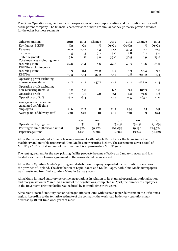#### **Other Operations**

The Other Operations segment reports the operations of the Group's printing and distribution unit as well as the parent company. The financial characteristics of both are similar as they primarily provide services for the other business segments.

| Other operations                                     | 2012           | 2011           | Change         | 2012    | 2011    | Change      | 2011    |
|------------------------------------------------------|----------------|----------------|----------------|---------|---------|-------------|---------|
| Key figures, MEUR                                    | Q <sub>2</sub> | Q <sub>2</sub> | %              | $Q1-Q2$ | $Q1-Q2$ | %           | $Q1-Q4$ |
| Revenue                                              | 21.0           | 20.2           | 4.3            | 42.1    | 39.3    | 7.1         | 79.5    |
| External                                             | 1.5            | 1.3            | 9.2            | 3.0     | 2.8     | 10.2        | 5.6     |
| Inter-segments                                       | 19.6           | 18.8           | 4.0            | 39.0    | 36.5    | 6.9         | 73.9    |
| Total expenses excluding non-                        |                |                |                |         |         |             |         |
| recurring items                                      | 22.8           | 21.4           | 6.6            | 44.8    | 40.5    | 10.6        | 81.0    |
| EBITDA excluding non-                                |                |                |                |         |         |             |         |
| recurring items                                      | $-0.3$         | 0.1            | $-376.2$       | 0.2     | 1.3     | $-88.4$     | 3.5     |
| <b>EBITDA</b>                                        | $-0.3$         | $-0.4$         | 37.2           | $-0.2$  | 0.8     | $-123.2$    | 3.4     |
| Operating profit excluding                           |                |                |                |         |         |             |         |
| non-recurring items                                  | $-1.7$         | $-1.2$         | $-47.7$        | $-2.7$  | $-1.2$  | $-122.0$    | $-1.4$  |
| Operating profit excluding                           |                |                |                |         |         |             |         |
| non-recurring items, %                               | $-8.2$         | $-5.8$         |                | $-6.5$  | $-3.1$  | $-107.3$    | $-1.8$  |
| Operating profit                                     | $-1.7$         | $-1.7$         | $-2.0$         | $-3.1$  | $-1.8$  | $-74.6$     | $-1.6$  |
| Operating profit, %                                  | $-8.2$         | $-8.4$         |                | $-7.3$  | $-4.5$  | $-63.1$     | $-2.0$  |
| Average no. of personnel,<br>calculated as full-time |                |                |                |         |         |             |         |
| employees                                            | 266            | 247            | 8              | 269     | 234     | 15          | 241     |
| Average no. of delivery staff                        | 930            | 846            | 10             | 909     | 830     | $\mathbf Q$ | 844     |
|                                                      |                | 2012           | 2011           | 2012    |         | 2011        | 2011    |
|                                                      |                |                |                |         |         |             |         |
| Operational key figures                              |                | Q <sub>2</sub> | Q <sub>2</sub> | $Q1-Q2$ |         | $Q1-Q2$     | $Q1-Q4$ |
| Printing volume (thousand units)                     |                | 50,976         | 59,276         | 102,059 |         | 119,190     | 224,724 |
| Paper usage (tons)                                   |                | 7,291          | 8,282          | 14,392  |         | 15,749      | 31,428  |

Alma Media has entered a finance leasing agreement with Pohjola Bank Plc for the financing of the machinery and movable property of Alma Media's new printing facility. The agreements cover a total of MEUR 42.6. The total amount of the investment is approximately MEUR 50.0.

The rent agreement for the new printing facility property became effective on January 1, 2012, and it is treated as a finance leasing agreement in the consolidated balance sheet.

Alma Manu Oy, Alma Media's printing and distribution company, expanded its distribution operations in the province of Lapland. The distribution of Lapin Kansa and Koillis-Lappi, both Alma Media newspapers, was transferred from Itella to Alma Manu in January 2012.

Alma Manu initiated statutory personnel negotiations in relation to its planned operational rationalisation and reorganisation in March. As a result of the negotiations, completed in April, the number of employees at the Rovaniemi printing facility was reduced by four full-time work years.

Alma Manu started statutory personnel negotiations in June with its newspaper deliverers in the Pirkanmaa region. According to the tentative estimate of the company, the work load in delivery operations may decrease by 18 full-time work years at most.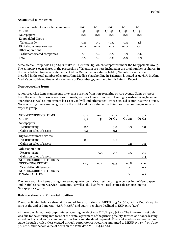#### **Associated companies**

| Share of profit of associated companies | 2012           | 2011   | 2012    | 2011    | 2011    |
|-----------------------------------------|----------------|--------|---------|---------|---------|
| <b>MEUR</b>                             | Q <sub>2</sub> | Q2     | $O1-O2$ | $O1-O2$ | $Q1-Q4$ |
| Newspapers                              | 0.0            | 0.0    | 0.0     | 0.0     | $-0.0$  |
| Kauppalehti Group                       |                |        |         |         |         |
| Talentum Oyj                            | 0.2            | 0.1    | $-0.5$  | 0.3     | 1.8     |
| Digital consumer services               | $-0.0$         | $-0.0$ | 0.0     | $-0.0$  | $-0.1$  |
| Other operations                        |                |        |         |         |         |
| Other associated companies              | 0.1            | 0.4    | 0.3     | 0.5     | 0.9     |
| Total                                   | 0.3            | 0.4    | $-0.2$  | 0.8     | 2.5     |

Alma Media Group holds a 32.14-% stake in Talentum Oyj, which is reported under the Kauppalehti Group. The company's own shares in the possession of Talentum are here included in the total number of shares. In the consolidated financial statements of Alma Media the own shares held by Talentum itself are not included in the total number of shares. Alma Media's shareholding in Talentum is stated as 32.64% in Alma Media's consolidated financial statements of December 31, 2011 and in this Interim Report.

#### **Non-recurring items**

A non-recurring item is an income or expense arising from non-recurring or rare events. Gains or losses from the sale of business operations or assets, gains or losses from discontinuing or restructuring business operations as well as impairment losses of goodwill and other assets are recognised as non-recurring items. Non-recurring items are recognised in the profit and loss statement within the corresponding income or expense group.

| NON-RECURRING ITEMS            | 2012           | 2011           | 2012    | 2011    | 2011             |
|--------------------------------|----------------|----------------|---------|---------|------------------|
| <b>MEUR</b>                    | Q <sub>2</sub> | Q <sub>2</sub> | $Q1-Q2$ | $Q1-Q2$ | $Q1-Q4$          |
| <b>Newspapers</b>              |                |                |         |         |                  |
| Restructuring                  | $-2.5$         |                | $-3.0$  | $-0.5$  | $-1.0$           |
| Gains on sales of assets       | $-0.1$         |                | $-0.1$  |         |                  |
| Digital consumer services      |                |                |         |         |                  |
| Restructuring                  | $-0.3$         |                | $-1.9$  |         |                  |
| Gains on sales of assets       |                |                |         | 0.2     | 0.2 <sub>0</sub> |
| Other operations               |                |                |         |         |                  |
| Restructuring                  |                | $-0.5$         | $-0.3$  | $-0.5$  | $-0.5$           |
| Gains on sales of assets       |                |                |         |         | 0.4              |
| NON-RECURRING ITEMS IN         |                |                |         |         |                  |
| <b>OPERATING PROFIT</b>        | $-2.9$         | $-0.5$         | $-5.3$  | $-0.8$  | $-1.0$           |
| <b>Translation differences</b> |                |                |         | 0.1     | 0.1              |
| NON-RECURRING ITEMS IN         |                |                |         |         |                  |
| <b>FINANCIAL ITEMS</b>         |                |                |         | 0.1     | 0.1              |

The non-recurring items during the second quarter comprised restructuring expenses in the Newspapers and Digital Consumer Services segments, as well as the loss from a real estate sale reported in the Newspapers segment.

## **Balance sheet and financial position**

The consolidated balance sheet at the end of June 2012 stood at MEUR 223.6 (166.1). Alma Media's equity ratio at the end of June was 36.8% (56.6%) and equity per share declined to EUR 0.95 (1.04).

At the end of June, the Group's interest-bearing net debt was MEUR 42.9 (-8.5). The increase in net debt was due to the entering into force of the rental agreement of the printing facility, treated as finance leasing, as well as loans taken for company acquisitions and dividend payment. Financial assets recognised at fair value through profit or loss created through corporate restructuring amounted to MEUR 0.0 (7.3) on June 30, 2012, and the fair value of debts on the same date MEUR 4.9 (2.6).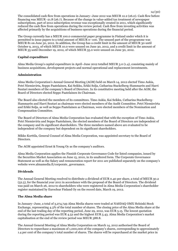The consolidated cash flow from operations in January–June 2012 was MEUR 12.2 (26.0). Cash flow before financing was MEUR -21.8 (26.7). Because of the change in value-added tax treatment of newspaper subscriptions, part of 2012 subscription revenue was exceptionally created in 2011, which significantly reduced the cash flow from operations during the review period. Cash flow from investing activities was affected primarily by the acquisitions of business operations during the financial period.

The Group currently has a MEUR 100.0 commercial paper programme in Finland under which it is permitted to issue papers to a total amount of MEUR  $\overline{O}$ –100. The unused part of the programme was MEUR 81 on June 30, 2012. In addition, the Group has a credit limit in the amount of MEUR 30 until October 9, 2013, of which MEUR 10.0 were unused on June 30, 2012, and a credit limit in the amount of MEUR 35 until December 19, 2012, of which MEUR 35.0 were unused on June 30, 2012.

## **Capital expenditure**

Alma Media Group's capital expenditure in April–June 2012 totalled MEUR 3.0 (1.4), consisting mainly of business acquisitions, development projects and normal operational and replacement investments.

## **Administration**

Alma Media Corporation's Annual General Meeting (AGM) held on March 14, 2012 elected Timo Aukia, Petri Niemisvirta, Seppo Paatelainen, Kai Seikku, Erkki Solja, Catharina Stackelberg-Hammarén and Harri Suutari members of the company's Board of Directors. In its constitutive meeting held after the AGM, the Board of Directors elected Seppo Paatelainen its Chairman.

The Board also elected the members of its committees. Timo Aukia, Kai Seikku, Catharina Stackelberg-Hammarén and Harri Suutari as chairman were elected members of the Audit Committee. Petri Niemisvirta and Erkki Solja, as well as Seppo Paatelainen as Chairman, were elected members of the Nomination and Compensation Committee.

The Board of Directors of Alma Media Corporation has evaluated that with the exception of Timo Aukia, Petri Niemisvirta and Seppo Paatelainen, the elected members of the Board of Directors are independent of the company and its significant shareholders. The three members named above are evaluated to be independent of the company but dependent on its significant shareholders.

Mikko Korttila, General Counsel of Alma Media Corporation, was appointed secretary to the Board of Directors.

The AGM appointed Ernst & Young Oy as the company's auditors.

Alma Media Corporation applies the Finnish Corporate Governance Code for listed companies, issued by the Securities Market Association on June 15, 2010, in its unaltered form. The Corporate Governance Statement as well as the Salary and remuneration report for 2011 are published separately on the company's website www.almamedia.fi/corporate\_governance.

## **Dividends**

The Annual General Meeting resolved to distribute a dividend of EUR 0.40 per share, a total of MEUR 30.2 (52.5), for the financial year 2011 in accordance with the proposal of the Board of Directors. The dividend was paid on March 26, 2012 to shareholders who were registered in Alma Media Corporation's shareholder register maintained by Euroclear Finland Oy on the record date, March 19, 2012.

## **The Alma Media share**

In January–June, a total of 3,274,749 Alma Media shares were traded at NASDAQ OMX Helsinki Stock Exchange, representing 4.3% of the total number of shares. The closing price of the Alma Media share at the end of the last trading day of the reporting period, June 29, 2012, was EUR 5.15. The lowest quotation during the reporting period was EUR 4.52 and the highest EUR 5.43. Alma Media Corporation's market capitalisation at the end of the review period was MEUR 388.8.

The Annual General Meeting of Alma Media Corporation on March 14, 2012 authorised the Board of Directors to repurchase a maximum of 1,000,000 of the company's shares, corresponding to approximately 1.4 per cent of the company's total number of shares. The shares will be repurchased at the market price in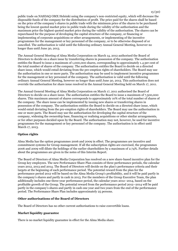public trade on NASDAQ OMX Helsinki using the company's non-restricted equity, which will decrease the disposable funds of the company for the distribution of profit. The price paid for the shares shall be based on the price of the company's shares in public trade with the minimum price of the shares to be purchased being the lowest quoted market price in public trade during the validity of the authorisation and the maximum price the highest quoted market price during the validity of the authorisation. The shares can be repurchased for the purpose of developing the capital structure of the company, or financing or implementing of corporate acquisitions or other arrangements, or implementing of the incentive programmes for the management or key personnel of the company, or to be otherwise disposed of or cancelled. The authorisation is valid until the following ordinary Annual General Meeting, however no longer than until June 30, 2013.

The Annual General Meeting of Alma Media Corporation on March 14, 2012 authorised the Board of Directors to decide on a share issue by transferring shares in possession of the company. The authorisation entitles the Board to issue a maximum of 1,000,000 shares, corresponding to approximately 1.4 per cent of the total number of shares of the company. The authorisation entitles the Board to decide on a directed share issue, which would entail deviating from the pre-emption rights of shareholders. The Board may use the authorisation in one or more parts. The authorisation may be used to implement incentive programmes for the management or key personnel of the company. The authorisation is valid until the following ordinary Annual General Meeting, however no longer than until June 30, 2013. This authorisation does not override the authorisation for share issue resolved in the Annual General Meeting held on March 17, 2011.

The Annual General Meeting of Alma Media Corporation on March 17, 2011 authorised the Board of Directors to decide on a share issue. The authorisation entitles the Board to issue a maximum of 7,500,000 shares. This maximum amount of shares corresponds to approximately 10% of the total number of shares of the company. The share issue can be implemented by issuing new shares or transferring shares in possession of the company. The authorisation entitles the Board to decide on a directed share issue, which would entail deviating from the pre-emption rights of shareholders. The Board may use the authorisation in one or more parts. The Board may use the authorisation for developing the capital structure of the company, widening the ownership base, financing or realising acquisitions or other similar arrangements, or for other purposes decided upon by the Board. The authorisation may not, however, be used for incentive programmes for the management or key personnel of the company. The authorisation is in effect until March 17, 2013.

## **Option rights**

Alma Media has the option programmes 2006 and 2009 in effect. The programmes are incentive and commitment systems for Group management. If all the subscription rights are exercised, the programmes 2006 and 2009 will dilute the holdings of the earlier shareholders by a maximum of 2.74%. Further details about the programmes are given in the notes of this Interim Report.

The Board of Directors of Alma Media Corporation has resolved on a new share-based incentive plan for the Group key employees. The new Performance Share Plan consists of three performance periods, the calendar years 2012, 2013 and 2014. The Board of Directors will decide on the plan's performance criteria and their targets at the beginning of each performance period. The potential reward from the plan for the performance period 2012 will be based on the Alma Media Group's profitability, and it will be paid partly in the company's shares and partly in cash in 2013. For the members of the Group Executive Team, the plan additionally includes one three-year performance period, the calendar years 2012–2014, based on the profitable growth of the Group. The potential reward from the performance period 2012–2014 will be paid partly in the company's shares and partly in cash one year and two years from the end of the performance period. The Performance Share Plan includes approximately 25 persons.

## **Other authorisations of the Board of Directors**

The Board of Directors has no other current authorisations to raise convertible loans.

## **Market liquidity guarantee**

There is no market liquidity guarantee in effect for the Alma Media share.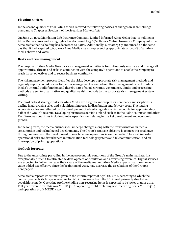## **Flagging notices**

In the second quarter of 2012, Alma Media received the following notices of changes in shareholdings pursuant to Chapter 2, Section 9 of the Securities Markets Act:

On June 21, 2012 Mandatum Life Insurance Company Limited informed Alma Media that its holding in Alma Media shares and voting rights has decreased to 3.69%. Kaleva Mutual Insurance Company informed Alma Media that its holding has decreased to 3.01%. Additionally, Mariatorp Oy announced on the same day that it had acquired 7,600,000 Alma Media shares, representing approximately 10.07% of all Alma Media shares and votes.

#### **Risks and risk management**

The purpose of Alma Media Group's risk management activities is to continuously evaluate and manage all opportunities, threats and risks in conjunction with the company's operations to enable the company to reach its set objectives and to secure business continuity.

The risk management process identifies the risks, develops appropriate risk management methods and regularly reports on risk issues to the risk management organisation. Risk management is part of Alma Media's internal audit function and thereby part of good corporate governance. Limits and processing methods are set for quantitative and qualitative risk methods by the corporate risk management system in writing.

The most critical strategic risks for Alma Media are a significant drop in its newspaper subscriptions, a decline in advertising sales and a significant increase in distribution and delivery costs. Fluctuating economic cycles are reflected on the development of advertising sales, which accounts for approximately half of the Group's revenue. Developing businesses outside Finland such as in the Baltic countries and other East European countries include country-specific risks relating to market development and economic growth.

In the long term, the media business will undergo changes along with the transformation in media consumption and technological developments. The Group's strategic objective is to meet this challenge through renewal and the development of new business operations in online media. The most important operational risks are disturbances in information technology systems and telecommunication, and an interruption of printing operations.

## **Outlook for 2012**

Due to the uncertainty prevailing in the macroeconomic conditions of the Group's main markets, it is exceptionally difficult to estimate the development of circulation and advertising revenues. Digital services are expected to further increase their share of the media market. Alma Media expects that the change in value-added tax, effective since the beginning of 2012, may decrease the circulations of the Group's newspapers.

Alma Media repeats its estimate given in the interim report of April 27, 2012, according to which the company expects its full-year revenue for 2012 to increase from the 2011 level, primarily due to the acquisitions made. Operating profit excluding non-recurring items is expected to be lower than in 2011. Full-year revenue for 2011 was MEUR 316.2, operating profit excluding non-recurring items MEUR 42.9 and operating profit MEUR 42.0.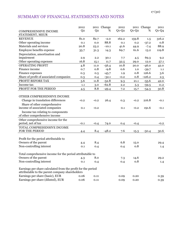# SUMMARY OF FINANCIAL STATEMENTS AND NOTES

| <b>COMPREHENSIVE INCOME</b><br>STATEMENT, MEUR<br><b>REVENUE</b><br>81.0<br>82.7<br>162.2<br>159.8<br>$-2.0$<br>1.5<br>Other operating income<br>88.8<br>0.1<br>0.0<br>0.1<br>0.2<br>$-37.2$<br>Materials and services<br>20.8<br>23.2<br>$-10.1$<br>41.6<br>44.9<br>$-7.4$<br>Employee benefits expense<br>61.6<br>69.7<br>13.2<br>35.7<br>31.3<br>14.3<br>Depreciation, amortisation and<br>impairment<br>69.3<br>2.9<br>2.2<br>30.1<br>7.7<br>4.5<br>Other operating expenses<br>16.8<br>32.5<br>12.0<br>15.1<br>11.7<br>29.0 |                         | 2012           |                | 2011 Change | 2012    |         | 2011 Change | 2011    |
|----------------------------------------------------------------------------------------------------------------------------------------------------------------------------------------------------------------------------------------------------------------------------------------------------------------------------------------------------------------------------------------------------------------------------------------------------------------------------------------------------------------------------------|-------------------------|----------------|----------------|-------------|---------|---------|-------------|---------|
|                                                                                                                                                                                                                                                                                                                                                                                                                                                                                                                                  |                         | Q <sub>2</sub> | Q <sub>2</sub> | %           | $Q1-Q2$ | $Q1-Q2$ | %           | $Q1-Q4$ |
|                                                                                                                                                                                                                                                                                                                                                                                                                                                                                                                                  |                         |                |                |             |         |         |             |         |
|                                                                                                                                                                                                                                                                                                                                                                                                                                                                                                                                  |                         |                |                |             |         |         |             | 316.2   |
|                                                                                                                                                                                                                                                                                                                                                                                                                                                                                                                                  |                         |                |                |             |         |         |             | 0.8     |
|                                                                                                                                                                                                                                                                                                                                                                                                                                                                                                                                  |                         |                |                |             |         |         |             | 88.9    |
|                                                                                                                                                                                                                                                                                                                                                                                                                                                                                                                                  |                         |                |                |             |         |         |             | 119.8   |
|                                                                                                                                                                                                                                                                                                                                                                                                                                                                                                                                  |                         |                |                |             |         |         |             |         |
|                                                                                                                                                                                                                                                                                                                                                                                                                                                                                                                                  |                         |                |                |             |         |         |             | 9.2     |
|                                                                                                                                                                                                                                                                                                                                                                                                                                                                                                                                  |                         |                |                |             |         |         |             | 57.1    |
|                                                                                                                                                                                                                                                                                                                                                                                                                                                                                                                                  | <b>OPERATING PROFIT</b> | 4.8            | 11.0           | $-56.4$     | 10.8    | 20.0    | $-46.0$     | 42.0    |
| Finance income<br>0.8<br>$-9.8$<br>0.6<br>0.7<br>$-39.7$<br>1.0                                                                                                                                                                                                                                                                                                                                                                                                                                                                  |                         |                |                |             |         |         |             | 1.1     |
| Finance expenses<br>126.6<br>$-45.7$<br>0.8<br>0.3<br>0.5<br>1.9                                                                                                                                                                                                                                                                                                                                                                                                                                                                 |                         |                |                |             |         |         |             | 3.6     |
| Share of profit of associated companies<br>$-126.2$<br>0.8<br>0.3<br>$-32.1$<br>$-0.2$<br>0.4                                                                                                                                                                                                                                                                                                                                                                                                                                    |                         |                |                |             |         |         |             | 2.5     |
| PROFIT BEFORE TAX<br>$-52.8$<br>5.6<br>11.8<br>$-55.6$<br>9.3<br>21.1                                                                                                                                                                                                                                                                                                                                                                                                                                                            |                         |                |                |             |         |         |             | 42.0    |
| Income tax<br>$-62.8$<br>3.0<br>2.2<br>5.3<br>$-59.5$<br>1.1                                                                                                                                                                                                                                                                                                                                                                                                                                                                     |                         |                |                |             |         |         |             | 11.2    |
| PROFIT FOR THE PERIOD<br>8.8<br>4.5<br>$-49.4$<br>7.2<br>$-54.3$<br>15.7                                                                                                                                                                                                                                                                                                                                                                                                                                                         |                         |                |                |             |         |         |             | 30.8    |
|                                                                                                                                                                                                                                                                                                                                                                                                                                                                                                                                  |                         |                |                |             |         |         |             |         |
| OTHER COMPREHENSIVE INCOME                                                                                                                                                                                                                                                                                                                                                                                                                                                                                                       |                         |                |                |             |         |         |             |         |
| Change in translation differences<br>216.8<br>26.4<br>$-0.2$<br>$-0.2$<br>0.3<br>$-0.2$                                                                                                                                                                                                                                                                                                                                                                                                                                          |                         |                |                |             |         |         |             | $-0.1$  |
| Share of other comprehensive                                                                                                                                                                                                                                                                                                                                                                                                                                                                                                     |                         |                |                |             |         |         |             |         |
| income of associated companies<br>0.1<br>$-0.2$<br>0.1<br>191.6<br>$-0.2$                                                                                                                                                                                                                                                                                                                                                                                                                                                        |                         |                |                |             |         |         |             | $-0.1$  |
| Income tax relating to components                                                                                                                                                                                                                                                                                                                                                                                                                                                                                                |                         |                |                |             |         |         |             |         |
| of other comprehensive income                                                                                                                                                                                                                                                                                                                                                                                                                                                                                                    |                         |                |                |             |         |         |             |         |
| Other comprehensive income for the                                                                                                                                                                                                                                                                                                                                                                                                                                                                                               |                         |                |                |             |         |         |             |         |
| period, net of tax<br>$-0.1$<br>$-0.4$<br>74.0<br>0.4<br>$-0.4$                                                                                                                                                                                                                                                                                                                                                                                                                                                                  |                         |                |                |             |         |         |             | $-0.2$  |
| TOTAL COMPREHENSIVE INCOME                                                                                                                                                                                                                                                                                                                                                                                                                                                                                                       |                         |                |                |             |         |         |             |         |
| FOR THE PERIOD<br>$-48.2$<br>7.6<br>8.4<br>15.3<br>$-50.4$<br>4.4                                                                                                                                                                                                                                                                                                                                                                                                                                                                |                         |                |                |             |         |         |             | 30.6    |
|                                                                                                                                                                                                                                                                                                                                                                                                                                                                                                                                  |                         |                |                |             |         |         |             |         |
| Profit for the period attributable to                                                                                                                                                                                                                                                                                                                                                                                                                                                                                            |                         |                |                |             |         |         |             |         |
| Owners of the parent<br>6.8<br>8.4<br>15.0<br>4.4                                                                                                                                                                                                                                                                                                                                                                                                                                                                                |                         |                |                |             |         |         |             | 29.4    |
| Non-controlling interest<br>0.8<br>0.1<br>0.4<br>0.4                                                                                                                                                                                                                                                                                                                                                                                                                                                                             |                         |                |                |             |         |         |             | 1.4     |
|                                                                                                                                                                                                                                                                                                                                                                                                                                                                                                                                  |                         |                |                |             |         |         |             |         |
| Total comprehensive income for the period attributable to                                                                                                                                                                                                                                                                                                                                                                                                                                                                        |                         |                |                |             |         |         |             |         |
| Owners of the parent<br>$7.3\,$<br>14.6<br>8.0<br>4.3                                                                                                                                                                                                                                                                                                                                                                                                                                                                            |                         |                |                |             |         |         |             | 29.2    |
| Non-controlling interest<br>0.8<br>0.1<br>0.4<br>0.4                                                                                                                                                                                                                                                                                                                                                                                                                                                                             |                         |                |                |             |         |         |             | 1.4     |
| Earnings per share calculated from the profit for the period<br>attributable to the parent company shareholders                                                                                                                                                                                                                                                                                                                                                                                                                  |                         |                |                |             |         |         |             |         |
| Earnings per share (basic), EUR<br>0.06<br>0.11<br>0.09<br>0.20                                                                                                                                                                                                                                                                                                                                                                                                                                                                  |                         |                |                |             |         |         |             | 0.39    |
| Earnings per share (diluted), EUR<br>0.06<br>0.11<br>0.09<br>$0.20\,$                                                                                                                                                                                                                                                                                                                                                                                                                                                            |                         |                |                |             |         |         |             | 0.39    |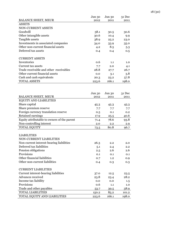|                                        | Jun 30 | Jun 30 | 31 Dec |
|----------------------------------------|--------|--------|--------|
| <b>BALANCE SHEET, MEUR</b>             | 2012   | 2011   | 2011   |
| <b>ASSETS</b>                          |        |        |        |
| NON-CURRENT ASSETS                     |        |        |        |
| Goodwill                               | 58.1   | 30.5   | 30.6   |
| Other intangible assets                | 30.6   | 10.4   | 9.9    |
| Tangible assets                        | 38.9   | 25.2   | 23.0   |
| Investments in associated companies    | 34.0   | 33.9   | 35.0   |
| Other non-current financial assets     | 4.2    | 8.5    | 5.3    |
| Deferred tax assets                    | 0.4    | 0.4    | 0.5    |
| <b>CURRENT ASSETS</b>                  |        |        |        |
| Inventories                            | 0.6    | 1.1    | 1.0    |
| Current tax assets                     | 7.7    | 2.0    | 4.1    |
| Trade receivable and other receivables | 28.8   | 27.7   | 26.7   |
| Other current financial assets         | 0.0    | 3.1    | 3.8    |
| Cash and cash equivalents              | 20.3   | 23.2   | 57.8   |
| <b>TOTAL ASSETS</b>                    | 223.6  | 166.1  | 198.0  |

|                                             | Jun 30 | Jun 30 | 31 Dec |
|---------------------------------------------|--------|--------|--------|
| <b>BALANCE SHEET, MEUR</b>                  | 2012   | 2011   | 2011   |
| <b>EQUITY AND LIABILITIES</b>               |        |        |        |
| Share capital                               | 45.3   | 45.3   | 45.3   |
| Share premium reserve                       | 7.7    | 7.7    | 7.7    |
| Foreign currency translation reserve        | 0.5    | 0.1    | 0.2    |
| Retained earnings                           | 17.9   | 25.5   | 40.6   |
| Equity attributable to owners of the parent | 71.4   | 78.6   | 93.8   |
| Non-controlling interest                    | 2.0    | 2.2    | 2.9    |
| TOTAL EQUITY                                | 73.5   | 80.8   | 96.7   |
|                                             |        |        |        |
| <b>LIABILITIES</b>                          |        |        |        |
| <b>NON-CURRENT LIABILITIES</b>              |        |        |        |
| Non-current interest-bearing liabilities    | 26.3   | 2.2    | 2.0    |
| Deferred tax liabilities                    | 5.1    | 2.4    | 2.2    |
| Pension obligations                         | 2.5    | 2.6    | 2.6    |
| Provisions                                  | 0.1    | 0.1    | 0.1    |
| Other financial liabilities                 | 0.7    | 1.2    | 0.9    |
| Other non-current liabilities               | 0.4    | 0.3    | 0.3    |
|                                             |        |        |        |
| <b>CURRENT LIABILITIES</b>                  |        |        |        |
| Current interest-bearing liabilities        | 37.0   | 12.5   | 23.5   |
| Advances received                           | 23.8   | 23.4   | 28.2   |
| Income tax liability                        | 0.0    | 0.0    | 1.5    |
| Provisions                                  | 0.6    | 1.1    | 1.0    |
| Trade and other payables                    | 53.7   | 39.5   | 38.9   |
| <b>TOTAL LIABILITIES</b>                    | 150.2  | 85.2   | 101.2  |
| TOTAL EQUITY AND LIABILITIES                | 223.6  | 166.1  | 198.0  |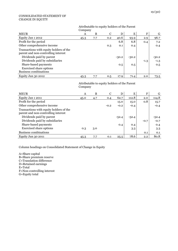#### CONSOLIDATED STATEMENT OF CHANGE IN EQUITY

#### Attributable to equity holders of the Parent **Company**

| <b>MEUR</b>                                                                    | Α    | B   | C   | D       | Ε       | F      | G       |
|--------------------------------------------------------------------------------|------|-----|-----|---------|---------|--------|---------|
| Equity Jan 1 2012                                                              | 45.3 | 7.7 | 0.2 | 40.6    | 93.9    | 2.9    | 96.7    |
| Profit for the period                                                          |      |     |     | 6.8     | 6.8     | 0.4    | 7.2     |
| Other comprehensive income                                                     |      |     | 0.3 | 0.1     | 0.4     |        | 0.4     |
| Transactions with equity holders of the<br>parent and non-controlling interest |      |     |     |         |         |        |         |
| Dividends paid by parent                                                       |      |     |     | $-30.2$ | $-30.2$ |        | $-30.2$ |
| Dividends paid by subsidiaries                                                 |      |     |     |         |         | $-1.3$ | $-1.3$  |
| Share-based payments                                                           |      |     |     | 0.5     | 0.5     |        | 0.5     |
| <b>Exercised share options</b><br><b>Business combinations</b>                 |      |     |     |         |         |        |         |
| Equity Jun 30 2012                                                             | 45.3 | 7.7 | 0.5 | 17.9    | 71.4    | 2.0    | 73.5    |

#### Attributable to equity holders of the Parent Company

| <b>MEUR</b>                                                                    | A    | B   | $\mathbf C$ | D       | E       | F      | G       |
|--------------------------------------------------------------------------------|------|-----|-------------|---------|---------|--------|---------|
| Equity Jan 1 2011                                                              | 45.0 | 4.7 | 0.4         | 62.7    | 112.8   | 2.0    | 114.8   |
| Profit for the period                                                          |      |     |             | 15.0    | 15.0    | 0.8    | 15.7    |
| Other comprehensive income                                                     |      |     | $-0.2$      | $-0.2$  | $-0.4$  |        | $-0.4$  |
| Transactions with equity holders of the<br>parent and non-controlling interest |      |     |             |         |         |        |         |
| Dividends paid by parent                                                       |      |     |             | $-52.4$ | $-52.4$ |        | $-52.4$ |
| Dividends paid by subsidiaries                                                 |      |     |             |         |         | $-0.7$ | $-0.7$  |
| Share-based payments                                                           |      |     |             | 0.4     | 0.4     |        | 0.4     |
| <b>Exercised share options</b>                                                 | 0.3  | 3.0 |             |         | 3.3     |        | 3.3     |
| <b>Business combinations</b>                                                   |      |     |             |         |         | 0.1    | 0.1     |
| Equity Jun 30 2011                                                             | 45.3 | 7.7 | 0.1         | 25.5    | 78.6    | 2.2    | 80.8    |

Column headings on Consolidated Statement of Change in Equity

A=Share capital B=Share premium reserve C=Translation difference D=Retained earnings E=Total F=Non-controlling interest G=Equity total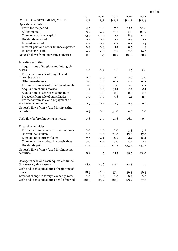|                                            | 2012           | 2011           | 2012    | 2011    | 2011    |
|--------------------------------------------|----------------|----------------|---------|---------|---------|
| CASH FLOW STATEMENT, MEUR                  | Q <sub>2</sub> | Q <sub>2</sub> | $Q1-Q2$ | $Q1-Q2$ | $Q1-Q4$ |
| Operating activities                       |                |                |         |         |         |
| Profit for the period                      | 4.5            | 8.8            | 7.2     | 15.7    | 30.8    |
| Adjustments                                | 3.9            | 4.9            | 11.8    | 9.0     | 20.2    |
| Change in working capital                  | $-3.7$         | $-11.4$        | 1.1     | 8.4     | 14.2    |
| Dividends received                         | 0.2            | 0.2            | 0.2     | 0.3     | 1.1     |
| Interest received                          | 0.1            | 0.3            | 0.1     | 0.5     | 0.4     |
| Interest paid and other finance expenses   | $-0.4$         | $-0.3$         | $-1.1$  | $-0.5$  | $-1.3$  |
| Income taxes paid                          | $-4.2$         | $-4.0$         | $-7.0$  | $-7.5$  | $-14.6$ |
| Net cash flows from operating activities   | 0.3            | $-1.5$         | 12.2    | 26.0    | 50.7    |
| Investing activities                       |                |                |         |         |         |
| Acquisitions of tangible and intangible    |                |                |         |         |         |
| assets                                     | $-1.0$         | $-0.9$         | $-1.8$  | $-1.5$  | $-2.8$  |
| Proceeds from sale of tangible and         |                |                |         |         |         |
| intangible assets                          | 2.5            | 0.0            | 2.5     | 0.0     | 0.0     |
| Other investments                          | 0.0            | 0.0            | $-0.1$  | 0.1     | $-0.1$  |
| Proceeds from sale of other investments    | 0.0            | 0.0            | 0.0     | 0.0     | 0.1     |
| Acquisition of subsidiaries                | $-1.9$         | 0.0            | $-39.1$ | 0.1     | $-0.1$  |
| Acquisition of associated companies        | 0.0            | 0.0            | $-0.3$  | $-0.3$  | $-0.3$  |
| Proceeds from sale of subsidiaries         | 0.0            | 0.0            | 3.8     | 2.1     | 2.5     |
| Proceeds from sale and repayment of        |                |                |         |         |         |
| associated companies                       | 0.9            | 0.3            | 0.9     | 0.3     | 0.7     |
| Net cash flows from / (used in) investing  |                |                |         |         |         |
| activities                                 | 0.5            | $-0.6$         | $-34.0$ | 0.7     | 0.0     |
|                                            |                |                |         |         |         |
| Cash flow before financing activities      | 0.8            | $-2.0$         | $-21.8$ | 26.7    | 50.7    |
| Financing activities                       |                |                |         |         |         |
| Proceeds from exercise of share options    | 0.0            | 2.7            | 0.0     | 3.3     | 3.2     |
| Current loans taken                        | 0.0            | 0.0            | 24.0    | 15.0    | 37.0    |
| Repayment of current loans                 | $-7.6$         | $-4.4$         | $-8.2$  | $-4.7$  | $-16.4$ |
| Change in interest-bearing receivables     | 0.0            | 0.1            | 0.0     | 0.1     | 0.3     |
| Dividends paid                             | $-1.3$         | 0.0            | $-31.5$ | $-53.2$ | $-53.2$ |
| Net cash flows from / (used in) financing  |                |                |         |         |         |
| activities                                 | $-8.9$         | $-1.5$         | $-15.7$ | $-39.5$ | $-29.0$ |
|                                            |                |                |         |         |         |
| Change in cash and cash equivalent funds   |                |                |         |         |         |
| $(increase + / decrease -)$                | $-8.1$         | $-3.6$         | $-37.5$ | $-12.8$ | 21.7    |
| Cash and cash equivalents at beginning of  |                |                |         |         |         |
| period                                     | 28.5           | 26.8           | 57.8    | 36.3    | 36.3    |
| Effect of change in foreign exchange rates | 0.0            | 0.0            | 0.0     | $-0.3$  | $-0.2$  |
| Cash and cash equivalents at end of period | 20.3           | 23.2           | 20.3    | 23.2    | 57.8    |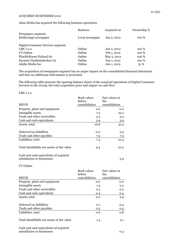Alma Media has acquired the following business operations

|                                            | <b>Business</b> | Acquired on | Ownership % |
|--------------------------------------------|-----------------|-------------|-------------|
| Newpapers segment:<br>Kotikymppi newspaper | Local newspaper | Jan 2, 2012 | 100 %       |
|                                            |                 |             |             |
| Digital Consumer Services segment:         |                 |             |             |
| $LMC$ s.r.o                                | Online          | Jan 2, 2012 | 100 %       |
| CV Online                                  | Online          | Feb 1, 2012 | 100 %       |
| PlanMyRoom Finland Oy                      | Online          | May 2, 2012 | 100 %       |
| Suomen Hankintakeskus Oy                   | Online          | Jun 1, 2012 | 100 %       |
| Adalia Media Inc                           | Online          | Jun 1, 2012 | 51%         |

The acquisition of newspapers segment has no major impact on the consolidated financial statements and thus no additional information is presented.

The following table presents the opening balance sheets of the acquired operations of Digital Consumer Services in the Group, the total acquisition price and impact on cash flow.

LMC s.r.o

| <b>MEUR</b>                                                         | Book values<br>before<br>consolidation | Fair values at<br>the<br>consolidation |
|---------------------------------------------------------------------|----------------------------------------|----------------------------------------|
| Property, plant and equipment                                       | 0.2                                    | 0.2                                    |
| Intangible assets                                                   | 7.5                                    | 22.1                                   |
| Trade and other receivables                                         | 3.3                                    | 3.3                                    |
| Cash and cash equivalents                                           | 5.9                                    | 5.9                                    |
| Assets, total                                                       | 16.8                                   | 31.4                                   |
| Deferred tax liabilities                                            | 0.0                                    | 2.9                                    |
| Trade and other payables                                            | 7.5                                    | 7.5                                    |
| Liabilities, total                                                  | 7.5                                    | 10.4                                   |
| Total identifiable net assets at fair value                         | 9.4                                    | 21.0                                   |
| Cash and cash equivalents of acquired<br>subsidiaries or businesses |                                        | 5.9                                    |

CV Online

| <b>MEUR</b>                                 | Book values<br>before<br>consolidation | Fair values at<br>the<br>consolidation |
|---------------------------------------------|----------------------------------------|----------------------------------------|
| Property, plant and equipment               | 0.0                                    | 0.0                                    |
| Intangible assets                           | 1.3                                    | 2.2                                    |
| Trade and other receivables                 | 0.2                                    | 0.2                                    |
| Cash and cash equivalents                   | 0.4                                    | 0.4                                    |
| Assets, total                               | 2.0                                    | 2.9                                    |
|                                             |                                        |                                        |
| Deferred tax liabilities                    | 0.1                                    | 0.4                                    |
| Trade and other payables                    | 0.5                                    | 0.5                                    |
| Liabilities, total                          | 0.6                                    | 0.8                                    |
| Total identifiable net assets at fair value | 1.4                                    | 2.1                                    |
| Cash and cash equivalents of acquired       |                                        |                                        |

subsidiaries or businesses 0.4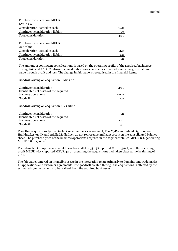| Purchase consideration, MEUR       |      |
|------------------------------------|------|
| LMC s.r.o                          |      |
| Consideration, settled in cash     | 39.2 |
| Contingent consideration liability | 3.9  |
| Total consideration                | 43.1 |
|                                    |      |
| Purchase consideration, MEUR       |      |
| CV Online                          |      |
| Consideration, settled in cash     | 4.0  |
| Contingent consideration liability | 1.2  |
| Total consideration                | 5.2  |

The amount of contingent considerations is based on the operating profits of the acquired businesses during 2011 and 2012. Contingent considerations are classified as financial assets recognised at fair value through profit and loss. The change in fair value is recognised in the financial items.

Goodwill arising on acquisition, LMC s.r.o

| Contingent consideration<br>Identifiable net assets of the acquired | 43.1   |
|---------------------------------------------------------------------|--------|
| business operations                                                 | -21.0  |
| Goodwill                                                            | 22.0   |
| Goodwill arising on acquisition, CV Online                          |        |
| Contingent consideration                                            | 5.2    |
| Identifiable net assets of the acquired                             |        |
| business operations                                                 | $-2.1$ |
| Goodwill                                                            | 3.1    |

The other acquisitions by the Digital Consumer Services segment, PlanMyRoom Finland Oy, Suomen Hankintakeskus Oy and Adalia Media Inc., do not represent significant assets on the consolidated balance sheet. The purchase price of the business operations acquired in the segment totalled MEUR 0.7, generating MEUR 0.8 in goodwill.

The estimated Group revenue would have been MEUR 336.5 (reported MEUR 316.2) and the operating profit MEUR 46.4 (reported MEUR 42.0), assuming the acquisitions had taken place at the beginning of 2011.

The fair values entered on intangible assets in the integration relate primarily to domains and trademarks, IT applications and customer agreements. The goodwill created through the acquisitions is affected by the estimated synergy benefits to be realised from the acquired businesses.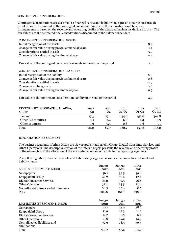#### CONTINGENT CONSIDERATIONS

Contingent considerations are classified as financial assets and liabilities recognised at fair value through profit or loss. The amount of the contingent considerations due to the acquisitions and business arrangements is based on the revenue and operating profits of the acquired businesses during 2010-13. The fair values are the estimated final considerations discounted to the balance sheet date.

| CONTINGENT CONSIDERATION ASSETS                                                                                  |        |
|------------------------------------------------------------------------------------------------------------------|--------|
| Initial recognition of the assets                                                                                | 8.4    |
| Change in fair value during previous financial years                                                             | $-1.4$ |
| Considerations, settled in cash                                                                                  | $-5.9$ |
| Change in fair value during the financial year                                                                   | $-1.1$ |
| Fair value of the contingent consideration assets in the end of the period<br>CONTINGENT CONSIDERATION LIABILITY | 0.0    |
| Initial recognition of the liability                                                                             | 8.0    |
| Change in fair value during previous financial years                                                             | $-0.8$ |
| Considerations, settled in cash                                                                                  | $-1.9$ |
| Change in exchange rate                                                                                          | 0.0    |
| Change in fair value during the financial year                                                                   | $-0.5$ |
|                                                                                                                  |        |

Fair value of the contingent consideration liability in the end of the period 4.9

| REVENUE BY GEOGRAPHICAL AREA, | 2012 | 2011 | 2012  | 2011    | 2011    |
|-------------------------------|------|------|-------|---------|---------|
| <b>MEUR</b>                   | 02   | 02   | 01-02 | $O1-O2$ | $Q1-Q4$ |
| Finland                       | 77.3 | 79.1 | 154.6 | 152.8   | 301.8   |
| Other EU countries            | 3.5  | 3.4  | 6.8   | 6.4     | 13.3    |
| Other countries               | 0.3  | 0.3  | 0.8   | 0.6     | 1.1     |
| Total                         | 81.0 | 82.7 | 162.2 | 159.8   | 316.2   |

## INFORMATION BY SEGMENT

The business segments of Alma Media are Newspapers, Kauppalehti Group, Digital Consumer Services and Other Operations. The descriptive section of the interim report presents the revenue and operating profits of the segments and the allocation of the associated companies' results to the reporting segments.

The following table presents the assets and liabilities by segment as well as the non-allocated asset and liability items.

|                                       | Jun 30 | Jun 30 | 31 Dec |
|---------------------------------------|--------|--------|--------|
| ASSETS BY SEGMENT, MEUR               | 2012   | 2011   | 2011   |
| Newspapers                            | 36.1   | 39.5   | 39.6   |
| Kauppalehti Group                     | 39.9   | 40.5   | 40.8   |
| <b>Digital Consumer Services</b>      | 81.2   | 30.3   | 26.6   |
| <b>Other Operations</b>               | 32.2   | 23.3   | 22.4   |
| Non-allocated assets and eliminations | 34.3   | 32.4   | 68.5   |
| Total                                 | 223.6  | 166.1  | 198.0  |
|                                       |        |        |        |
|                                       |        |        |        |
|                                       | Jun 30 | Jun 30 | 31 Dec |
| LIABILITIES BY SEGMENT, MEUR          | 2012   | 2011   | 2011   |
| Newspapers                            | 37.1   | 33.9   | 38.6   |
| Kauppalehti Group                     | 11.9   | 12.3   | 11.0   |
| <b>Digital Consumer Services</b>      | 14.7   | 8.5    | 6.4    |
| <b>Other Operations</b>               | 13.6   | 12.2   | 14.9   |
| Non-allocated liabilities and         | 72.9   | 18.3   | 30.4   |
| eliminations                          |        |        |        |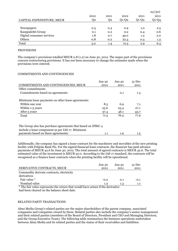|                           |      |      |         |         | 24(30)  |
|---------------------------|------|------|---------|---------|---------|
|                           | 2012 | 2011 | 2012    | 2011    | 2011    |
| CAPITAL EXPENDITURE, MEUR | Q2   | Q2   | $Q1-Q2$ | $Q1-Q2$ | $Q1-Q4$ |
|                           |      |      |         |         |         |
| Newspapers                | 0.3  | 0.3  | 0.9     | 1.0     | 2.5     |
| Kauppalehti Group         | 0.1  | 0.2  | 0.2     | 0.4     | 0.6     |
| Digital consumer services | 1.8  | 0.7  | 49.0    | 1.2     | 2.0     |
| Others                    | 0.8  | 0.2  | 22.3    | 0.4     | 1.2     |
| Total                     | 3.0  | 1.4  | 72.5    | 2.9     | 6.3     |

#### PROVISIONS

The company's provisions totalled MEUR 0.8 (1.2) on June 30, 2012. The major part of the provisions concern restructuring provisions. It has not been necessary to change the estimates made when the provisions were entered.

#### COMMITMENTS AND CONTINGENCIES

|                                                              | Jun 30 | Jun 30 | 31 Dec |
|--------------------------------------------------------------|--------|--------|--------|
| COMMITMENTS AND CONTINGENCIES, MEUR                          | 2012   | 2011   | 2011   |
| Other commitments                                            |        |        |        |
| Commitments based on agreements                              |        | 0.1    | 1.3    |
| Minimum lease payments on other lease agreements:            |        |        |        |
| Within one year                                              | 8.5    | 6.9    | 7.1    |
| Within 1-5 years                                             | 25.6   | 23.4   | 27.1   |
| After 5 years                                                | 37.4   | 46.1   | 43.7   |
| Total                                                        | 71.5   | 76.4   | 77.9   |
|                                                              |        |        |        |
| The Group also has purchase agreements that based on IFRIC 4 |        |        |        |

| The Group also has purchase agreements that based on IFMC4 |     |     |
|------------------------------------------------------------|-----|-----|
| include a lease component as per IAS 17. Minimum           |     |     |
| payments based on these agreements:                        | 1.9 | 1.5 |

Additionally, the company has signed a lease contract for the machinery and movables of the new printing facility with Pohjola Bank Plc. For the signed financial lease contracts, the financier has paid advance payments of MEUR 42.6 by June 30, 2012. The total amount of agreed contracts is MEUR 42.6. The total estimated value of the investment is MEUR 50.0. According to the IAS 17 standard, the contracts will be recognised as a finance lease contracts when the printing facility will be operational.

|                                                                                                                                                                       | Jun 30            | Jun 30 | $31$ Dec |
|-----------------------------------------------------------------------------------------------------------------------------------------------------------------------|-------------------|--------|----------|
| DERIVATIVE CONTRACTS, MEUR                                                                                                                                            | 2012              | 2011   | 2011     |
| Commodity derivate contracts, electricity                                                                                                                             |                   |        |          |
| derivatives                                                                                                                                                           |                   |        |          |
| Fair value *                                                                                                                                                          | $-0.2$            | 0.1    | $-0.1$   |
| Nominal value                                                                                                                                                         | 1.2               | 1.3    | 1.1      |
| $v = 1$<br>the contract of the contract of the contract of the contract of the contract of the contract of the contract of<br>,,,,<br>$\cdot$ $\cdot$ $\cdot$ $\cdot$ | $\cdots$ $\cdots$ |        |          |

\* The fair value represents the return that would have arisen if the derivative had been cleared on the balance sheet date.

#### RELATED PARTY TRANSACTIONS

Alma Media Group's related parties are the major shareholders of the parent company, associated companies and companies owned by them. Related parties also include the company's senior management and their related parties (members of the Board of Directors, President and CEO and Managing Directors, and the Group Executive Team). The following table summarises the business operations undertaken between Alma Media and its related parties and the status of their receivables and liabilities: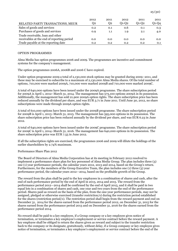|                                            | 2012 | 2011    | 2012    | 2011  | 2011    |
|--------------------------------------------|------|---------|---------|-------|---------|
| RELATED PARTY TRANSACTIONS, MEUR           | 02   | 02      | $O1-O2$ | 01-02 | $Q1-Q4$ |
| Sales of goods and services                | 0.2  | 0.1     | 0.6     | 0.1   | 0.3     |
| Purchases of goods and services            | 0.9  | $1.1\,$ | 1.9     | 2.1   | 4.0     |
| Trade receivable, loan and other           |      |         |         |       |         |
| receivables at the end of reporting period | 0.0  | 0.0     | 0.0     | 0.0   | 0.0     |
| Trade payable at the reporting date        | 0.2  | 0.2     | 0.2     | 0.2   | 0.1     |

#### OPTION PROGRAMMES

Alma Media has option programmes 2006 and 2009. The programmes are incentive and commitment systems for the company's management.

The option programmes 2006A, 2006B and 2006 C have expired.

Under option programme 2009 a total of 2,130,000 stock options may be granted during 2009–2011, and these may be exercised to subscribe to a maximum of 2,130,000 Alma Media shares. Of the total number of options, 710,000 were marked 2009A, 710,000 were marked 2009B and 710,000 were marked 2009C.

A total of 640,000 options have been issued under the 2009A programme. The share subscription period for 2009A is April 1, 2012–March 31, 2014. The management has 573,100 options 2009A in its possession. Additionally, the management has sold 21,900 2009A option rights. The share subscription price has been reduced annually by the dividend per share, and was EUR 3.71 in June 2011. Until June 30, 2012, no share subscriptions were made through 2009A option rights.

A total of 610,000 options have been issued under the 2009B programme. The share subscription period for 2009B is April 1, 2013–March 31, 2015. The management has 595,000 options in its possession. The share subscription price has been reduced annually by the dividend per share, and was EUR 6.23 in June 2012.

A total of 640,000 options have been issued under the 2009C programme. The share subscription period for 2009C is April 1, 2014–March 31, 2016. The management has 640,000 options in its possession. The share subscription price was EUR 7.55 in June 2012.

If all the subscription rights are exercised, the programmes 2006 and 2009 will dilute the holdings of the earlier shareholders by 2.74% maximum.

#### Performance Share Plan 2012

The Board of Directors of Alma Media Corporation has at its meeting in February 2012 resolved to implement a performance share plan for key personnel of Alma Media Group. The plan includes three (3) one (1) year performance periods, the calendar years 2012, 2013 and 2014, based on the Group's return. Furthermore, for the members of the Group Executive Team, the plan includes one (1) three (3) year performance period, the calendar years 2012—2014, based on the profitable growth of the Group.

The reward from the plan shall be paid to the key employees in a combination of shares and cash, after the end of each performance period by the end of April in 2013, 2014 and 2015. The reward from the performance period 2012—2014 shall be confirmed by the end of April 2015, and it shall be paid in two equal lots in a combination of shares and cash, one year and two years from the end of the performance period. Shares paid as reward on the basis of the plan, from the one-year performance periods, may not be assigned, pledged or otherwise exercised (transfer restriction/s) during the restriction period established for the shares (restriction period/s). The restriction period shall begin from the reward payment and end on December 31, 2014 for the shares earned from the performance period 2012, on December 31, 2015 for the shares earned from the performance period 2013 and on December 31, 2016 for the shares earned from the performance period 2014.

No reward shall be paid to a key employee, if a Group company or a key employee gives notice of termination, or terminates a key employee's employment or service contract before the reward payment. A key employee shall be obliged to return the shares given as reward and subject to the transfer restriction back to the company or its designate, gratuitously, without delay, if a Group company or key employee gives notice of termination, or terminates a key employee's employment or service contract before the end of the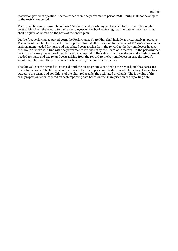restriction period in question. Shares earned from the performance period 2012—2014 shall not be subject to the restriction period.

There shall be a maximum total of 600,000 shares and a cash payment needed for taxes and tax-related costs arising from the reward to the key employees on the book-entry registration date of the shares that shall be given as reward on the basis of the entire plan.

On the first performance period 2012, the Performance Share Plan shall include approximately 25 persons. The value of the plan for the performance period 2012 shall correspond to the value of 120,000 shares and a cash payment needed for taxes and tax-related costs arising from the reward to the key employees in case the Group's return is in line with the performance criteria set by the Board of Directors. On the performance period 2012–2014 the value of the plan shall correspond to the value of 212,000 shares and a cash payment needed for taxes and tax-related costs arising from the reward to the key employees in case the Group's growth is in line with the performance criteria set by the Board of Directors.

The fair value of the reward is expensed until the target group is entitled to the reward and the shares are freely transferable. The fair value of the share is the share price, on the date on which the target group has agreed to the terms and conditions of the plan, reduced by the estimated dividends. The fair value of the cash proportion is remeasured on each reporting date based on the share price on the reporting date.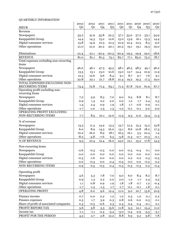## QUARTERLY INFORMATION

|                                         | 2012           | 2012           | 2011           | 2011           | 2011           |                | 2011 2010     | 2010           | 2010    |
|-----------------------------------------|----------------|----------------|----------------|----------------|----------------|----------------|---------------|----------------|---------|
| <b>MEUR</b>                             | Q <sub>2</sub> | Q <sub>1</sub> | Q <sub>4</sub> | Q <sub>3</sub> | Q <sub>2</sub> | Q <sub>1</sub> | Q4            | Q <sub>3</sub> | Q2      |
| Revenue                                 |                |                |                |                |                |                |               |                |         |
| Newspapers                              | 53.2           | 51.9           | 55.8           | 52.5           | 57.1           | 53.0           | 57.2          | 53.1           | 54.9    |
| Kauppalehti Group                       | 14.4           | 14.3           | 15.2           | 12.6           | 15.0           | 13.9           | 16.1          | 13.3           | 14.4    |
| Digital consumer services               | 13.8           | 14.9           | 10.5           | 10.3           | 10.9           | 10.4           | 10.5          | 8.5            | 9.0     |
| Other operations                        | 21.0           | 21.0           | 20.2           | 20.1           | 20.2           | 19.1           | 19.1          | 19.3           | 19.0    |
|                                         |                |                |                |                |                |                |               |                |         |
| Eliminations                            | $-21.4$        | $-21.1$        | $-20.4$        | $-20.3$        | $-20.4$        |                | $-19.3 -19.9$ | 19.0           | $-18.6$ |
| <b>REVENUE</b>                          | 81.0           | 81.1           | 81.3           | 75.1           | 82.7           | 77.1           | 83.0          | 75.2           | 78.7    |
| Total expenses excluding non-recurring  |                |                |                |                |                |                |               |                |         |
| items                                   |                |                |                |                |                |                |               |                |         |
| Newspapers                              | 46.0           | 46.1           | 47.5           | 45.5           | 48.1           | 46.5           | 48.5          | 45.1           | 46.2    |
| Kauppalehti Group                       | 13.5           | 13.1           | 13.0           | 10.6           | 13.0           | 12.7           | 14.4          | 10.9           | 11.9    |
| Digital consumer services               | 12.5           | 12.6           | 9.6            | 8.4            | 9.1            | 8.7            | 9.7           | 7.6            | 9.1     |
| Other operations                        | 22.8           | 22.1           | 21.7           | 18.8           | 21.4           | 19.2           | 19.3          | 17.3           | 19.0    |
| TOTAL EXPENSES EXCLUDING NON-           |                |                |                |                |                |                |               |                |         |
| <b>RECURRING ITEMS</b>                  | 73.4           | 72.8           | 71.4           | 63.1           | 71.2           | 67.8           | 72.0          | 61.9           | 67.7    |
| Operating profit excluding non-         |                |                |                |                |                |                |               |                |         |
| recurring items                         |                |                |                |                |                |                |               |                |         |
| Newspapers                              | 7.2            | 5.9            | 8.3            | 7.0            | 9.0            | 6.5            | 8.8           | 8.1            | 8.7     |
| Kauppalehti Group                       | 0.9            | 1.3            | 2.2            | 2.0            | 2.0            | 1.2            | 1.7           | 2.4            | 2.5     |
| Digital consumer services               | 1.4            | 2.4            | 0.9            | 1.9            | 1.8            | 1.7            | 0.6           | 0.9            | 0.1     |
| Other operations                        | $-1.7$         | $-1.0$         | $-1.5$         | 1.3            | $-1.2$         | $-0.1$         | $-0.1$        | 2.0            | 0.0     |
| OPERATING PROFIT EXCLUDING              |                |                |                |                |                |                |               |                |         |
| NON-RECURRING ITEMS                     | 7.7            | 8.5            | 10.1           | 12.0           | 11.5           | 9.3            | 11.0          | 13.4           | 11.3    |
| % of revenue                            |                |                |                |                |                |                |               |                |         |
| Newspapers                              | 13.5           | 11.3           | 14.9           | 13.3           | 15.7           | 12.3           | 15.3          | 15.2           | 15.8    |
| Kauppalehti Group                       | 6.0            | 8.9            | 14.5           | 16.0           | 13.1           | 8.6            | 10.8          | 18.2           | 17.3    |
| Digital consumer services               | 10.2           | 16.0           | 8.9            | 18.1           | 16.5           | 16.1           | 5.5           | 10.4           | 1.4     |
| Other operations                        | $-8.2$         | $-4.8$         | $-7.6$         | 6.5            | $-5.8$         | $-0.3$         | $-0.7$        | 10.3           | $-0.1$  |
| % OF REVENUE                            | 9.5            | 10.4           | 12.4           | 16.0           | 14.0           | 12.1           | 13.2          | 17.8           | 14.3    |
|                                         |                |                |                |                |                |                |               |                |         |
| Non-recurring items                     |                |                |                |                |                |                |               |                |         |
| Newspapers                              | $-2.6$         | $-0.5$         | $-0.5$         | 0.0            | 0.0            | $-0.5$         | $-0.4$        | 0.1            | 0.0     |
| Kauppalehti Group                       | 0.0            | 0.0            | 0.0            | $0.0\,$        | 0.0            | 0.0            | 0.0           | 0.0            | 0.0     |
| Digital consumer services               | $-0.3$         | $-1.6$         | 0.0            | 0.0            | 0.0            | 0.2            | 0.2           | 0.3            | $-0.5$  |
| Other operations                        | 0.0            | $-0.3$         | $0.0\,$        | 0.4            | $-0.5$         | $_{0.0}$       | 0.0           | $-0.2$         | $0.2\,$ |
| NON-RECURRING ITEMS                     | $-2.9$         | $-2.5$         | $-0.5$         | 0.4            | $-0.5$         | $-0.3$         | $-0.3$        | 0.2            | $-0.4$  |
|                                         |                |                |                |                |                |                |               |                |         |
| Operating profit                        |                |                |                |                |                |                |               |                |         |
| Newspapers                              | 4.6            | 5.3            | $7.8$          | 7.0            | 9.0            | 6.0            | 8.4           | 8.2            | 8.7     |
| Kauppalehti Group                       | 0.9            | 1.3            | $2.2\,$        | $2.0\,$        | 2.0            | 1.2            | 1.7           | 2.4            | 2.5     |
| Digital consumer services               | 1.1            | 0.8            | 0.9            | 1.9            | $1.8\,$        | 1.8            | 0.7           | 1.2            | $-0.4$  |
| Other operations                        | $-1.7$         | $-1.3$         | $-1.5$         | 1.7            | $-1.7$         | $-0.1$         | $-0.1$        | 1.8            | 0.1     |
| OPERATING PROFIT                        | 4.8            | 6.0            | 9.6            | 12.4           | 11.0           | 9.0            | 10.7          | 13.6           | 10.9    |
| Finance income                          | 0.7            | 0.0            | 0.2            | $1.2\,$        | 1.0            | 0.5            | 1.0           | 0.1            | 0.2     |
| Finance expenses                        | 0.3            | 1.7            | 3.9            | 0.3            | 0.8            | 0.6            | $0.0\,$       | 0.3            | 0.1     |
| Share of profit of associated companies | 0.3            | $-0.5$         | $-0.6$         | 2.3            | 0.4            | 0.4            | 0.4           | $-0.1$         | 0.1     |
| PROFIT BEFORE TAX                       | 5.6            | 3.8            | 5.3            | 15.6           | 11.8           | 9.3            | 12.1          | 13.4           | 11.0    |
| Income tax                              | $-1.1$         | $-1.1$         | $-2.4$         | $-3.4$         | $-3.0$         | $-2.4$         | $-2.9$        | $-3.5$         | $-3.1$  |
| PROFIT FOR THE PERIOD                   | 4.5            | 2.7            | $2.8\,$        | 12.2           | 8.8            | 6.9            | 9.2           | 9.8            | 7.8     |
|                                         |                |                |                |                |                |                |               |                |         |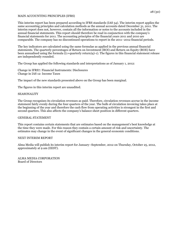#### MAIN ACCOUNTING PRINCIPLES (IFRS)

This interim report has been prepared according to IFRS standards (IAS 34). The interim report applies the same accounting principles and calculation methods as the annual accounts dated December 31, 2011. The interim report does not, however, contain all the information or notes to the accounts included in the annual financial statements. This report should therefore be read in conjunction with the company's financial statements for 2011. The accounting principles of the financial years 2011 and 2010 are comparable. The company has no discontinued operations to report in the 2011–2012 financial periods.

The key indicators are calculated using the same formulae as applied in the previous annual financial statements. The quarterly percentages of Return on Investment (ROI) and Return on Equity (ROE) have been annualised using the formula ((1+quarterly return)4)-1). The figures in this financial statement release are independently rounded.

The Group has applied the following standards and interpretations as of January 1, 2012:

Change in IFRS7: Financial Instruments: Disclosures Change in IAS 12: Income Taxes

The impact of the new standards presented above on the Group has been marginal.

The figures in this interim report are unaudited.

#### **SEASONALITY**

The Group recognises its circulation revenues as paid. Therefore, circulation revenues accrue in the income statement fairly evenly during the four quarters of the year. The bulk of circulation invoicing takes place at the beginning of the year and therefore the cash flow from operating activities is strongest in the first and second quarters. This also affects the company's balance sheet position in different quarters.

#### GENERAL STATEMENT

This report contains certain statements that are estimates based on the management's best knowledge at the time they were made. For this reason they contain a certain amount of risk and uncertainty. The estimates may change in the event of significant changes in the general economic conditions.

#### NEXT INTERIM REPORT

Alma Media will publish its interim report for January–September, 2012 on Thursday, October 25, 2012, approximately at 9 am (EEST).

ALMA MEDIA CORPORATION Board of Directors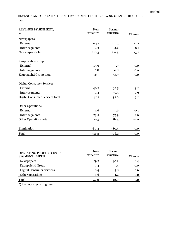## REVENUE AND OPERATING PROFIT BY SEGMENT IN THE NEW SEGMENT STRUCTURE 2011

| REVENUE BY SEGMENT,              | <b>New</b> | Former    |        |
|----------------------------------|------------|-----------|--------|
| <b>MEUR</b>                      | structure  | structure | Change |
| Newspapers                       |            |           |        |
| External                         | 214.1      | 217.3     | $-3.2$ |
| Inter-segments                   | 4.3        | 4.2       | 0.1    |
| Newspapers total                 | 218.3      | 221.5     | $-3.1$ |
| Kauppalehti Group                |            |           |        |
| External                         | 55.9       | 55.9      | 0.0    |
| Inter-segments                   | 0.8        | 0.8       | 0.0    |
| Kauppalehti Group total          | 56.7       | 56.7      | 0.0    |
| <b>Digital Consumer Services</b> |            |           |        |
| External                         | 40.7       | 37.5      | 3.2    |
| Inter-segments                   | 1.4        | $-0.5$    | 1.9    |
| Digital Consumer Services total  | 42.1       | 37.0      | 5.2    |
| <b>Other Operations</b>          |            |           |        |
| External                         | 5.6        | 5.6       | $-0.1$ |
| Inter-segments                   | 73.9       | 75.9      | $-2.0$ |
| Other Operations total           | 79.5       | 81.5      | $-2.0$ |
| Elimination                      | $-80.4$    | $-80.4$   | 0.0    |
| Total                            | 316.2      | 316.2     | 0.0    |

| OPERATING PROFIT/LOSS BY<br>SEGMENT*, MEUR | <b>New</b><br>structure | Former<br>structure | Change |
|--------------------------------------------|-------------------------|---------------------|--------|
| <b>Newspapers</b>                          | 29.7                    | 30.2                | $-0.4$ |
| Kauppalehti Group                          | 7.4                     | 7.4                 | 0.0    |
| <b>Digital Consumer Services</b>           | 6.4                     | 5.8                 | 0.6    |
| Other operations                           | $-1.6$                  | $-1.4$              | $-0.2$ |
| Total                                      | 42.0                    | 42.0                | 0.0    |

\*) incl. non-recurring items